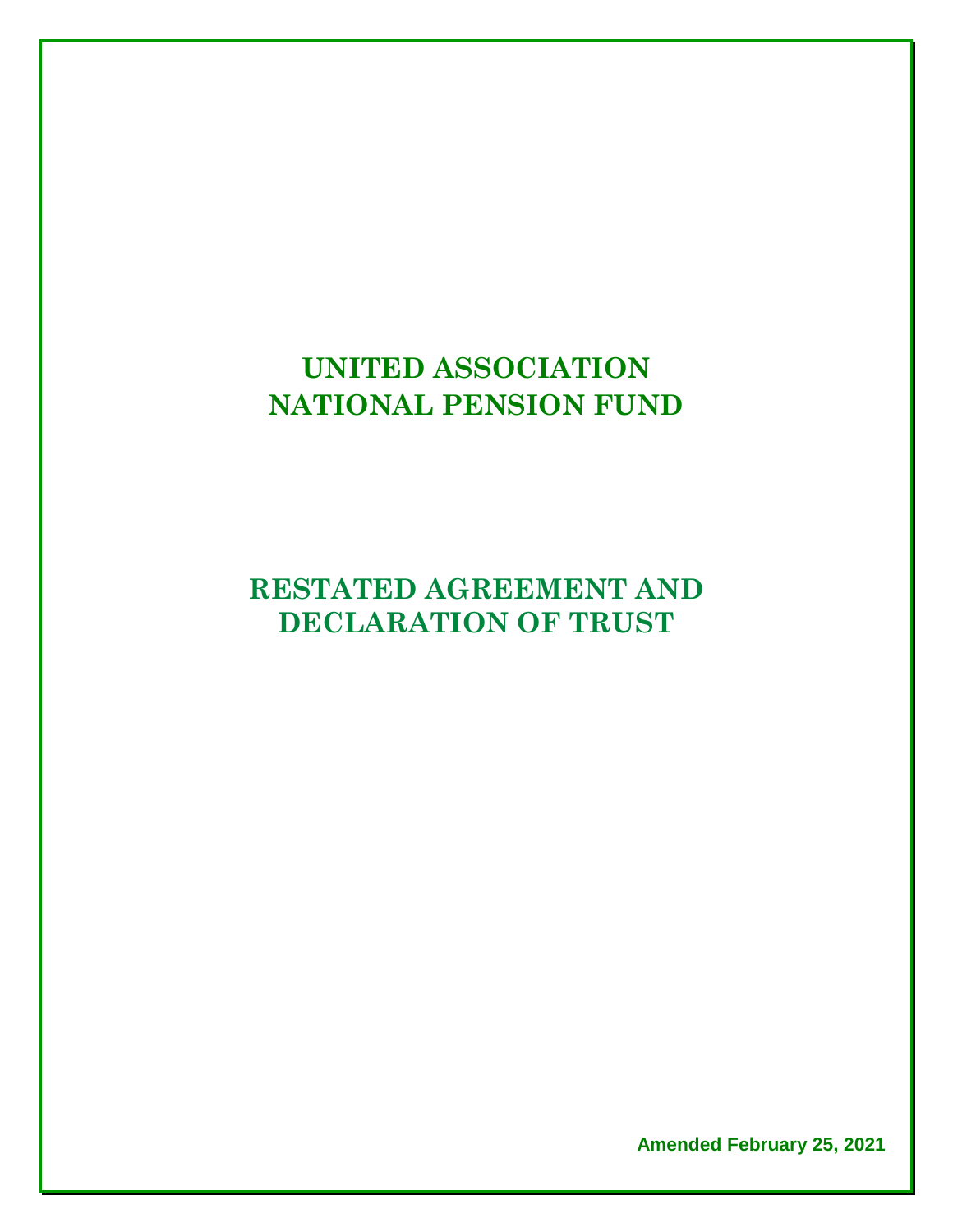# **UNITED ASSOCIATION NATIONAL PENSION FUND**

# **RESTATED AGREEMENT AND DECLARATION OF TRUST**

**Amended February 25, 2021**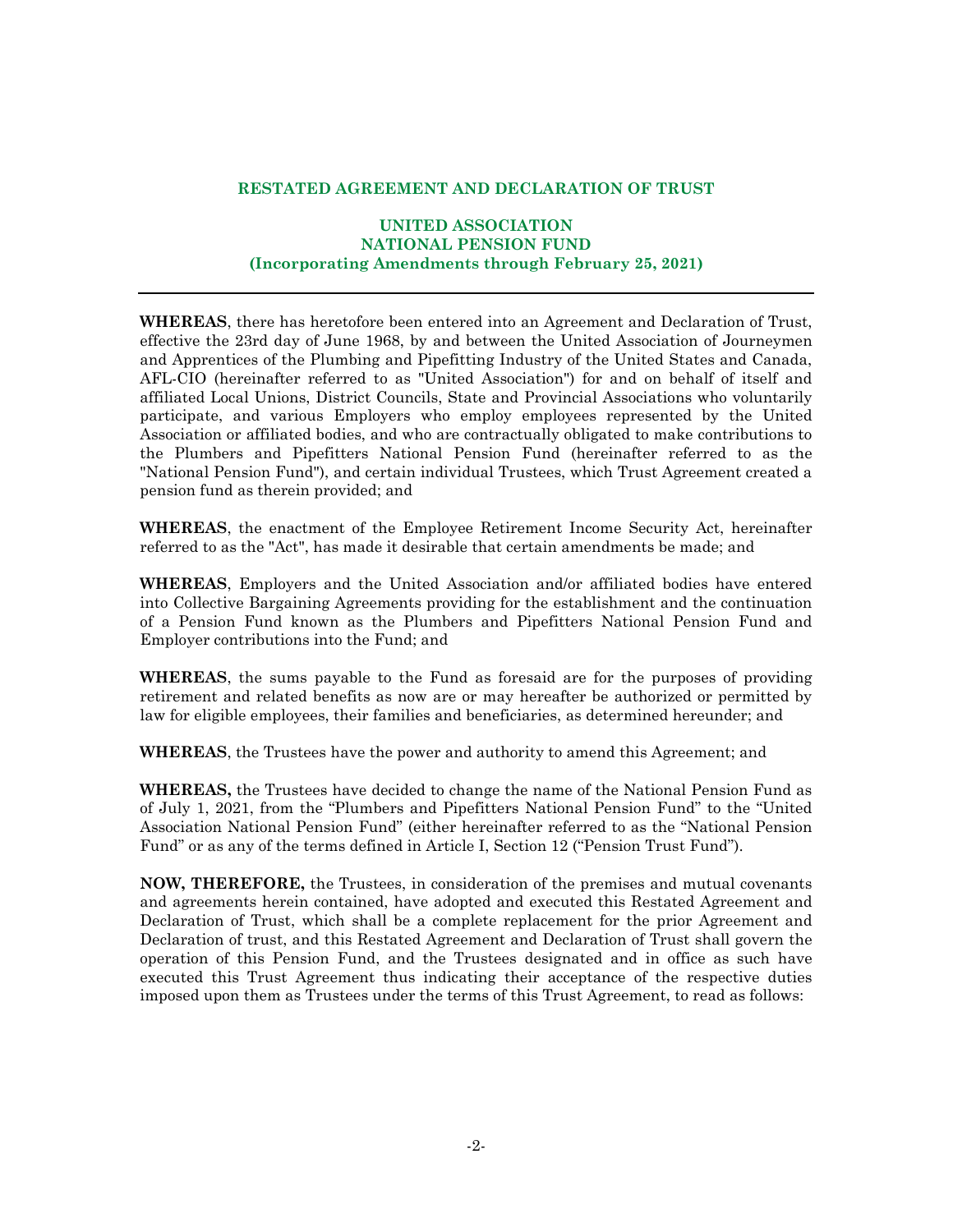#### **RESTATED AGREEMENT AND DECLARATION OF TRUST**

#### **UNITED ASSOCIATION NATIONAL PENSION FUND (Incorporating Amendments through February 25, 2021)**

**WHEREAS**, there has heretofore been entered into an Agreement and Declaration of Trust, effective the 23rd day of June 1968, by and between the United Association of Journeymen and Apprentices of the Plumbing and Pipefitting Industry of the United States and Canada, AFL-CIO (hereinafter referred to as "United Association") for and on behalf of itself and affiliated Local Unions, District Councils, State and Provincial Associations who voluntarily participate, and various Employers who employ employees represented by the United Association or affiliated bodies, and who are contractually obligated to make contributions to the Plumbers and Pipefitters National Pension Fund (hereinafter referred to as the "National Pension Fund"), and certain individual Trustees, which Trust Agreement created a pension fund as therein provided; and

**WHEREAS**, the enactment of the Employee Retirement Income Security Act, hereinafter referred to as the "Act", has made it desirable that certain amendments be made; and

**WHEREAS**, Employers and the United Association and/or affiliated bodies have entered into Collective Bargaining Agreements providing for the establishment and the continuation of a Pension Fund known as the Plumbers and Pipefitters National Pension Fund and Employer contributions into the Fund; and

**WHEREAS**, the sums payable to the Fund as foresaid are for the purposes of providing retirement and related benefits as now are or may hereafter be authorized or permitted by law for eligible employees, their families and beneficiaries, as determined hereunder; and

**WHEREAS**, the Trustees have the power and authority to amend this Agreement; and

**WHEREAS,** the Trustees have decided to change the name of the National Pension Fund as of July 1, 2021, from the "Plumbers and Pipefitters National Pension Fund" to the "United Association National Pension Fund" (either hereinafter referred to as the "National Pension Fund" or as any of the terms defined in Article I, Section 12 ("Pension Trust Fund").

**NOW, THEREFORE,** the Trustees, in consideration of the premises and mutual covenants and agreements herein contained, have adopted and executed this Restated Agreement and Declaration of Trust, which shall be a complete replacement for the prior Agreement and Declaration of trust, and this Restated Agreement and Declaration of Trust shall govern the operation of this Pension Fund, and the Trustees designated and in office as such have executed this Trust Agreement thus indicating their acceptance of the respective duties imposed upon them as Trustees under the terms of this Trust Agreement, to read as follows: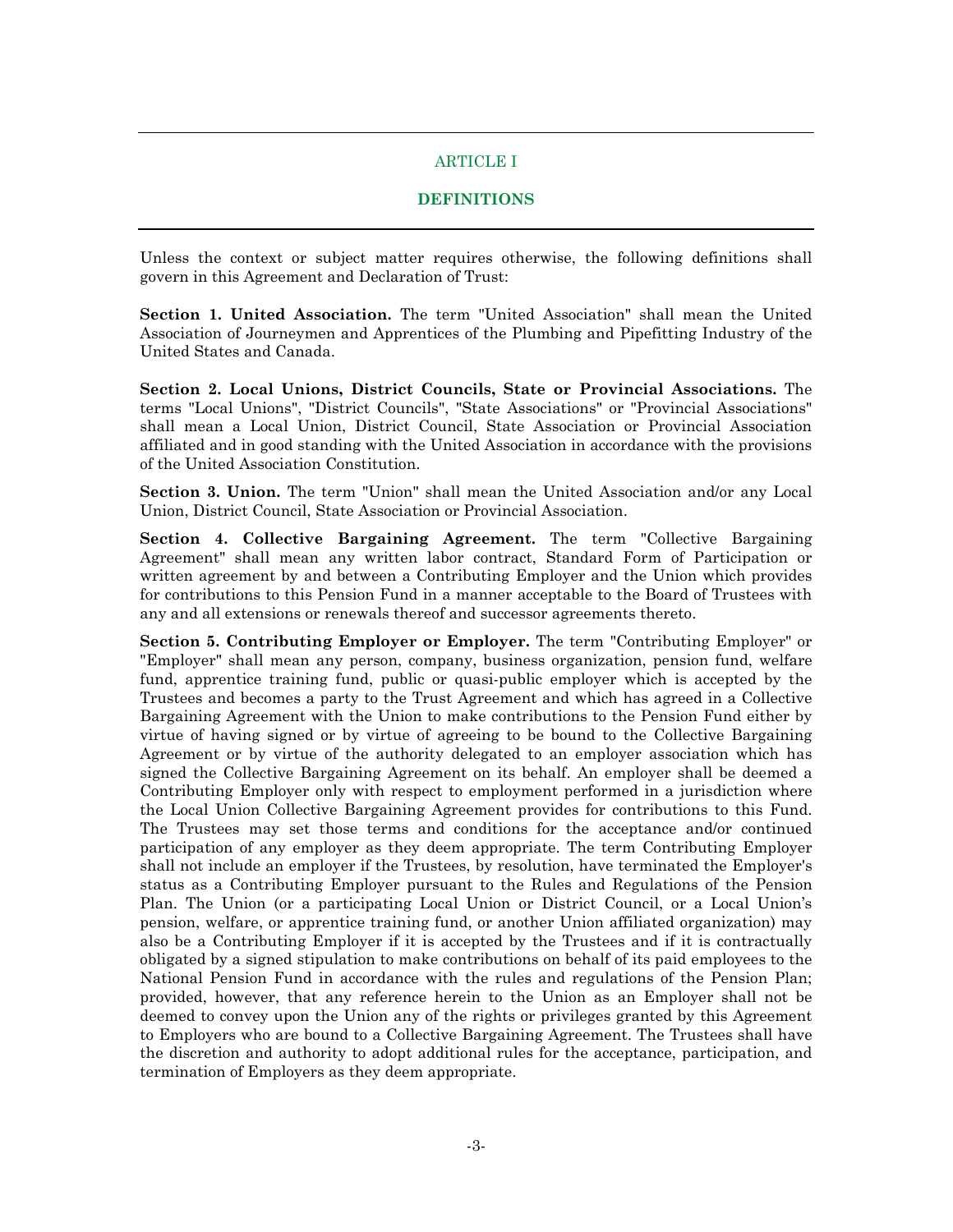#### ARTICLE I

#### **DEFINITIONS**

Unless the context or subject matter requires otherwise, the following definitions shall govern in this Agreement and Declaration of Trust:

**Section 1. United Association.** The term "United Association" shall mean the United Association of Journeymen and Apprentices of the Plumbing and Pipefitting Industry of the United States and Canada.

**Section 2. Local Unions, District Councils, State or Provincial Associations.** The terms "Local Unions", "District Councils", "State Associations" or "Provincial Associations" shall mean a Local Union, District Council, State Association or Provincial Association affiliated and in good standing with the United Association in accordance with the provisions of the United Association Constitution.

**Section 3. Union.** The term "Union" shall mean the United Association and/or any Local Union, District Council, State Association or Provincial Association.

**Section 4. Collective Bargaining Agreement.** The term "Collective Bargaining Agreement" shall mean any written labor contract, Standard Form of Participation or written agreement by and between a Contributing Employer and the Union which provides for contributions to this Pension Fund in a manner acceptable to the Board of Trustees with any and all extensions or renewals thereof and successor agreements thereto.

**Section 5. Contributing Employer or Employer.** The term "Contributing Employer" or "Employer" shall mean any person, company, business organization, pension fund, welfare fund, apprentice training fund, public or quasi-public employer which is accepted by the Trustees and becomes a party to the Trust Agreement and which has agreed in a Collective Bargaining Agreement with the Union to make contributions to the Pension Fund either by virtue of having signed or by virtue of agreeing to be bound to the Collective Bargaining Agreement or by virtue of the authority delegated to an employer association which has signed the Collective Bargaining Agreement on its behalf. An employer shall be deemed a Contributing Employer only with respect to employment performed in a jurisdiction where the Local Union Collective Bargaining Agreement provides for contributions to this Fund. The Trustees may set those terms and conditions for the acceptance and/or continued participation of any employer as they deem appropriate. The term Contributing Employer shall not include an employer if the Trustees, by resolution, have terminated the Employer's status as a Contributing Employer pursuant to the Rules and Regulations of the Pension Plan. The Union (or a participating Local Union or District Council, or a Local Union's pension, welfare, or apprentice training fund, or another Union affiliated organization) may also be a Contributing Employer if it is accepted by the Trustees and if it is contractually obligated by a signed stipulation to make contributions on behalf of its paid employees to the National Pension Fund in accordance with the rules and regulations of the Pension Plan; provided, however, that any reference herein to the Union as an Employer shall not be deemed to convey upon the Union any of the rights or privileges granted by this Agreement to Employers who are bound to a Collective Bargaining Agreement. The Trustees shall have the discretion and authority to adopt additional rules for the acceptance, participation, and termination of Employers as they deem appropriate.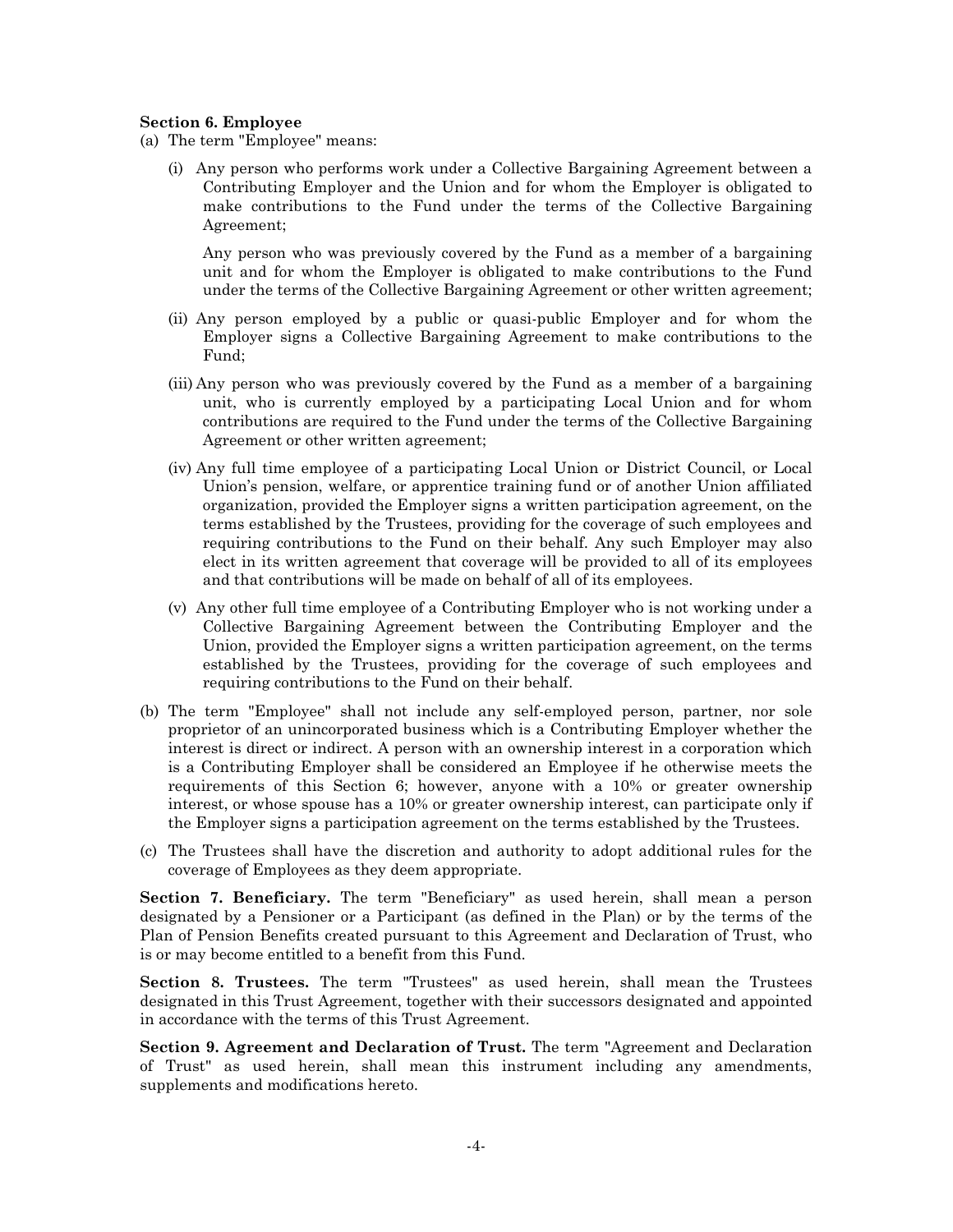#### **Section 6. Employee**

- (a) The term "Employee" means:
	- (i) Any person who performs work under a Collective Bargaining Agreement between a Contributing Employer and the Union and for whom the Employer is obligated to make contributions to the Fund under the terms of the Collective Bargaining Agreement;

Any person who was previously covered by the Fund as a member of a bargaining unit and for whom the Employer is obligated to make contributions to the Fund under the terms of the Collective Bargaining Agreement or other written agreement;

- (ii) Any person employed by a public or quasi-public Employer and for whom the Employer signs a Collective Bargaining Agreement to make contributions to the Fund;
- (iii) Any person who was previously covered by the Fund as a member of a bargaining unit, who is currently employed by a participating Local Union and for whom contributions are required to the Fund under the terms of the Collective Bargaining Agreement or other written agreement;
- (iv) Any full time employee of a participating Local Union or District Council, or Local Union's pension, welfare, or apprentice training fund or of another Union affiliated organization, provided the Employer signs a written participation agreement, on the terms established by the Trustees, providing for the coverage of such employees and requiring contributions to the Fund on their behalf. Any such Employer may also elect in its written agreement that coverage will be provided to all of its employees and that contributions will be made on behalf of all of its employees.
- (v) Any other full time employee of a Contributing Employer who is not working under a Collective Bargaining Agreement between the Contributing Employer and the Union, provided the Employer signs a written participation agreement, on the terms established by the Trustees, providing for the coverage of such employees and requiring contributions to the Fund on their behalf.
- (b) The term "Employee" shall not include any self-employed person, partner, nor sole proprietor of an unincorporated business which is a Contributing Employer whether the interest is direct or indirect. A person with an ownership interest in a corporation which is a Contributing Employer shall be considered an Employee if he otherwise meets the requirements of this Section 6; however, anyone with a 10% or greater ownership interest, or whose spouse has a 10% or greater ownership interest, can participate only if the Employer signs a participation agreement on the terms established by the Trustees.
- (c) The Trustees shall have the discretion and authority to adopt additional rules for the coverage of Employees as they deem appropriate.

**Section 7. Beneficiary.** The term "Beneficiary" as used herein, shall mean a person designated by a Pensioner or a Participant (as defined in the Plan) or by the terms of the Plan of Pension Benefits created pursuant to this Agreement and Declaration of Trust, who is or may become entitled to a benefit from this Fund.

**Section 8. Trustees.** The term "Trustees" as used herein, shall mean the Trustees designated in this Trust Agreement, together with their successors designated and appointed in accordance with the terms of this Trust Agreement.

**Section 9. Agreement and Declaration of Trust.** The term "Agreement and Declaration of Trust" as used herein, shall mean this instrument including any amendments, supplements and modifications hereto.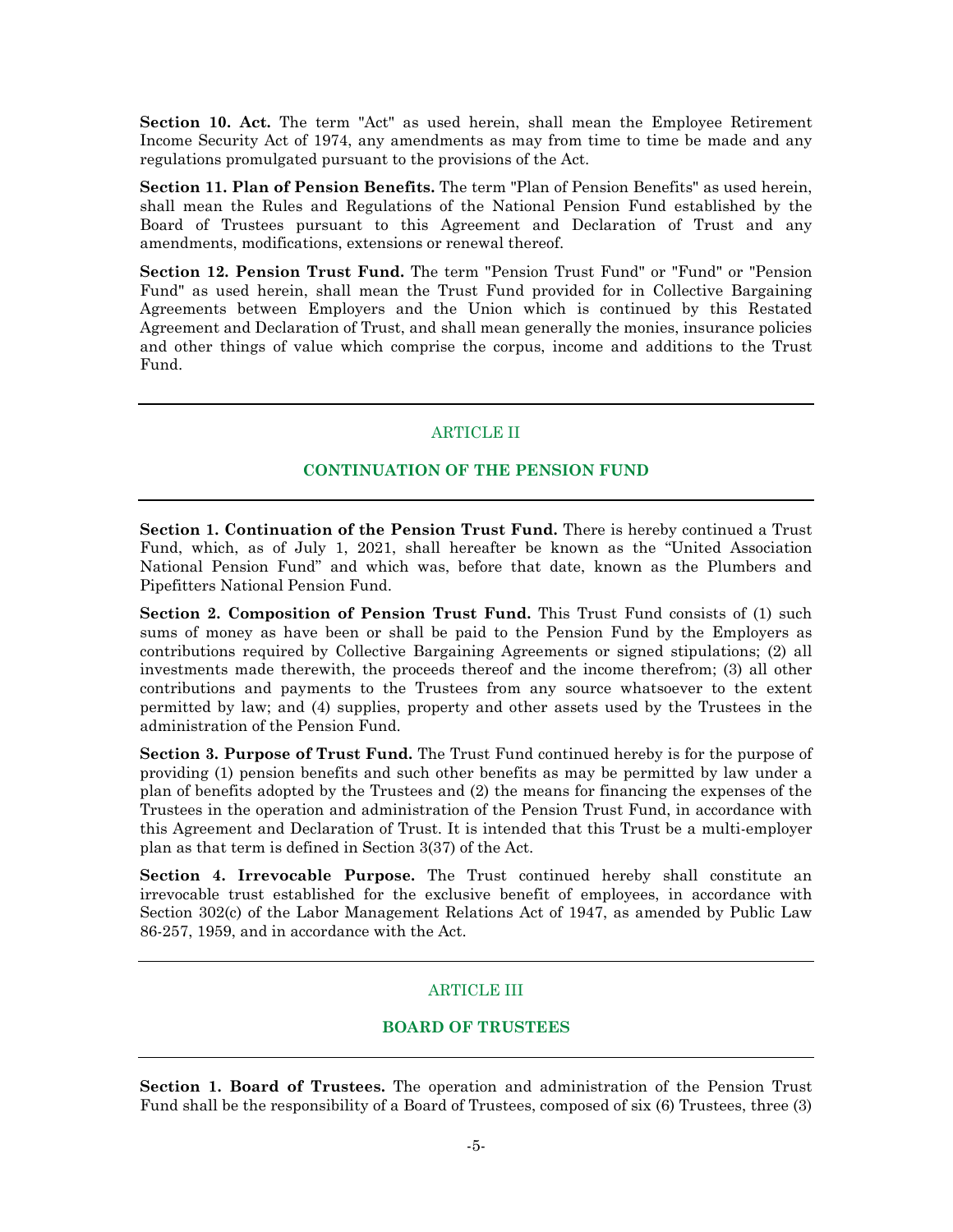**Section 10. Act.** The term "Act" as used herein, shall mean the Employee Retirement Income Security Act of 1974, any amendments as may from time to time be made and any regulations promulgated pursuant to the provisions of the Act.

**Section 11. Plan of Pension Benefits.** The term "Plan of Pension Benefits" as used herein, shall mean the Rules and Regulations of the National Pension Fund established by the Board of Trustees pursuant to this Agreement and Declaration of Trust and any amendments, modifications, extensions or renewal thereof.

**Section 12. Pension Trust Fund.** The term "Pension Trust Fund" or "Fund" or "Pension Fund" as used herein, shall mean the Trust Fund provided for in Collective Bargaining Agreements between Employers and the Union which is continued by this Restated Agreement and Declaration of Trust, and shall mean generally the monies, insurance policies and other things of value which comprise the corpus, income and additions to the Trust Fund.

# ARTICLE II

# **CONTINUATION OF THE PENSION FUND**

**Section 1. Continuation of the Pension Trust Fund.** There is hereby continued a Trust Fund, which, as of July 1, 2021, shall hereafter be known as the "United Association National Pension Fund" and which was, before that date, known as the Plumbers and Pipefitters National Pension Fund.

**Section 2. Composition of Pension Trust Fund.** This Trust Fund consists of (1) such sums of money as have been or shall be paid to the Pension Fund by the Employers as contributions required by Collective Bargaining Agreements or signed stipulations; (2) all investments made therewith, the proceeds thereof and the income therefrom; (3) all other contributions and payments to the Trustees from any source whatsoever to the extent permitted by law; and (4) supplies, property and other assets used by the Trustees in the administration of the Pension Fund.

**Section 3. Purpose of Trust Fund.** The Trust Fund continued hereby is for the purpose of providing (1) pension benefits and such other benefits as may be permitted by law under a plan of benefits adopted by the Trustees and (2) the means for financing the expenses of the Trustees in the operation and administration of the Pension Trust Fund, in accordance with this Agreement and Declaration of Trust. It is intended that this Trust be a multi-employer plan as that term is defined in Section 3(37) of the Act.

**Section 4. Irrevocable Purpose.** The Trust continued hereby shall constitute an irrevocable trust established for the exclusive benefit of employees, in accordance with Section 302(c) of the Labor Management Relations Act of 1947, as amended by Public Law 86-257, 1959, and in accordance with the Act.

# ARTICLE III

# **BOARD OF TRUSTEES**

**Section 1. Board of Trustees.** The operation and administration of the Pension Trust Fund shall be the responsibility of a Board of Trustees, composed of six (6) Trustees, three (3)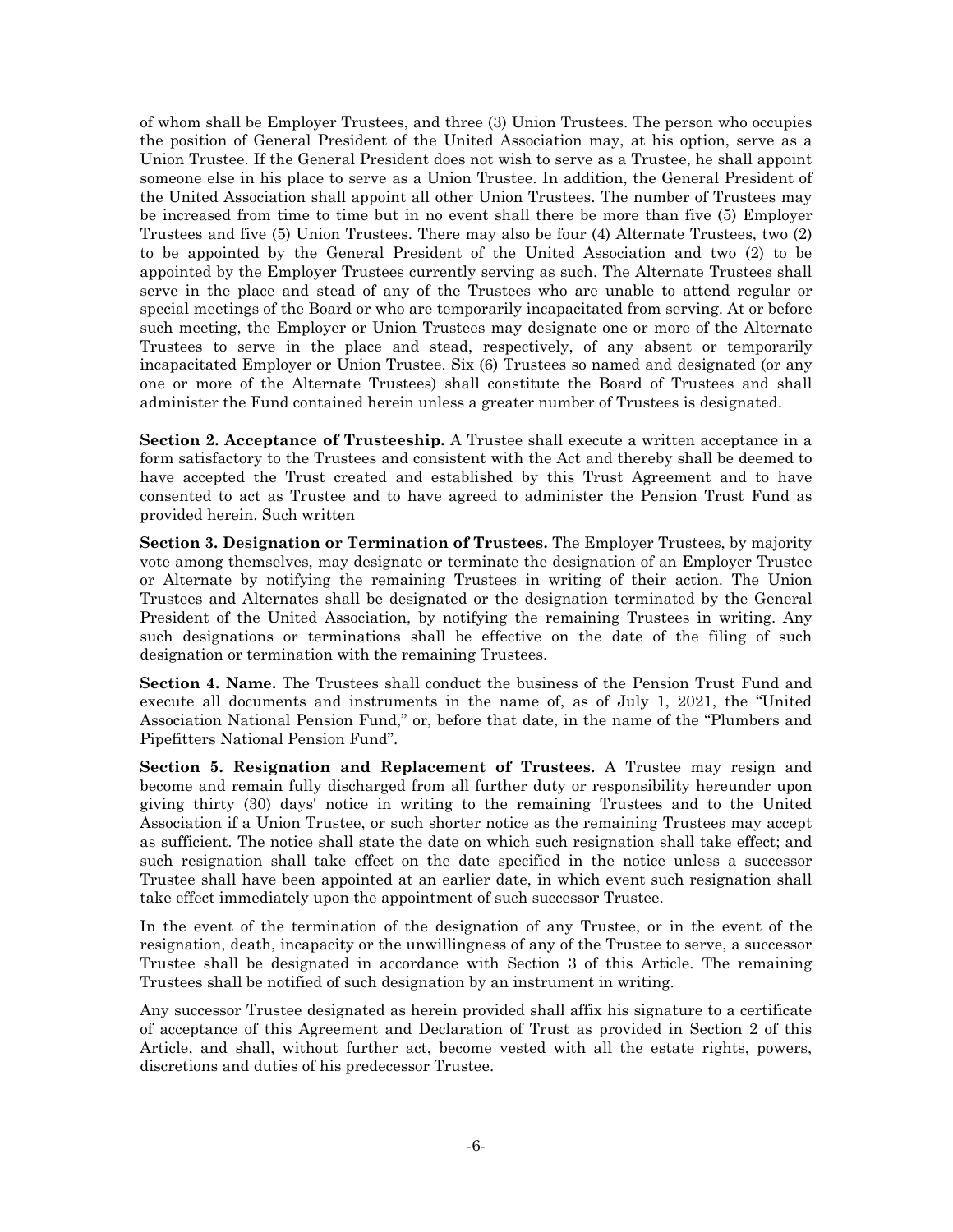of whom shall be Employer Trustees, and three (3) Union Trustees. The person who occupies the position of General President of the United Association may, at his option, serve as a Union Trustee. If the General President does not wish to serve as a Trustee, he shall appoint someone else in his place to serve as a Union Trustee. In addition, the General President of the United Association shall appoint all other Union Trustees. The number of Trustees may be increased from time to time but in no event shall there be more than five (5) Employer Trustees and five (5) Union Trustees. There may also be four (4) Alternate Trustees, two (2) to be appointed by the General President of the United Association and two (2) to be appointed by the Employer Trustees currently serving as such. The Alternate Trustees shall serve in the place and stead of any of the Trustees who are unable to attend regular or special meetings of the Board or who are temporarily incapacitated from serving. At or before such meeting, the Employer or Union Trustees may designate one or more of the Alternate Trustees to serve in the place and stead, respectively, of any absent or temporarily incapacitated Employer or Union Trustee. Six (6) Trustees so named and designated (or any one or more of the Alternate Trustees) shall constitute the Board of Trustees and shall administer the Fund contained herein unless a greater number of Trustees is designated.

**Section 2. Acceptance of Trusteeship.** A Trustee shall execute a written acceptance in a form satisfactory to the Trustees and consistent with the Act and thereby shall be deemed to have accepted the Trust created and established by this Trust Agreement and to have consented to act as Trustee and to have agreed to administer the Pension Trust Fund as provided herein. Such written

**Section 3. Designation or Termination of Trustees.** The Employer Trustees, by majority vote among themselves, may designate or terminate the designation of an Employer Trustee or Alternate by notifying the remaining Trustees in writing of their action. The Union Trustees and Alternates shall be designated or the designation terminated by the General President of the United Association, by notifying the remaining Trustees in writing. Any such designations or terminations shall be effective on the date of the filing of such designation or termination with the remaining Trustees.

**Section 4. Name.** The Trustees shall conduct the business of the Pension Trust Fund and execute all documents and instruments in the name of, as of July 1, 2021, the "United Association National Pension Fund," or, before that date, in the name of the "Plumbers and Pipefitters National Pension Fund".

**Section 5. Resignation and Replacement of Trustees.** A Trustee may resign and become and remain fully discharged from all further duty or responsibility hereunder upon giving thirty (30) days' notice in writing to the remaining Trustees and to the United Association if a Union Trustee, or such shorter notice as the remaining Trustees may accept as sufficient. The notice shall state the date on which such resignation shall take effect; and such resignation shall take effect on the date specified in the notice unless a successor Trustee shall have been appointed at an earlier date, in which event such resignation shall take effect immediately upon the appointment of such successor Trustee.

In the event of the termination of the designation of any Trustee, or in the event of the resignation, death, incapacity or the unwillingness of any of the Trustee to serve, a successor Trustee shall be designated in accordance with Section 3 of this Article. The remaining Trustees shall be notified of such designation by an instrument in writing.

Any successor Trustee designated as herein provided shall affix his signature to a certificate of acceptance of this Agreement and Declaration of Trust as provided in Section 2 of this Article, and shall, without further act, become vested with all the estate rights, powers, discretions and duties of his predecessor Trustee.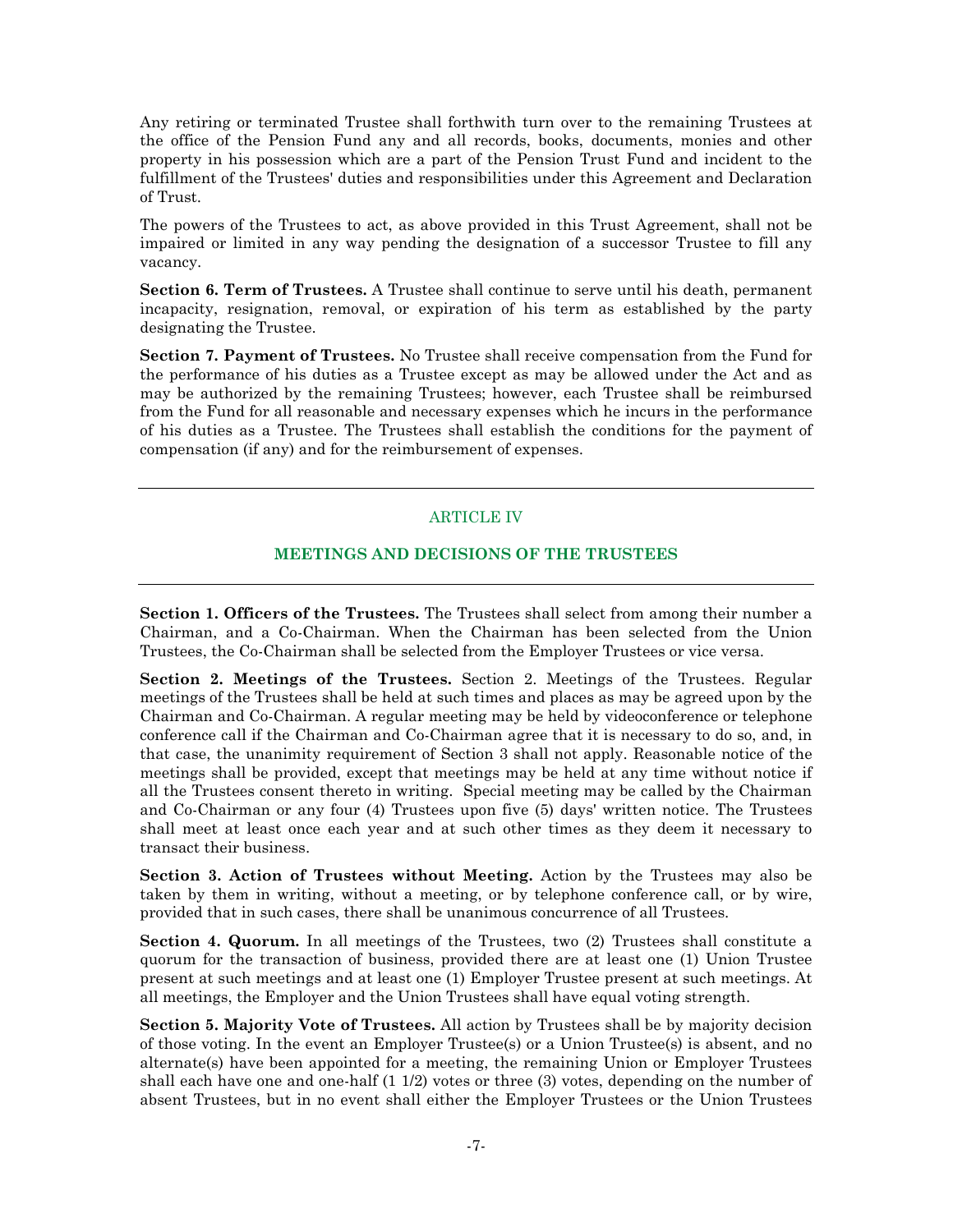Any retiring or terminated Trustee shall forthwith turn over to the remaining Trustees at the office of the Pension Fund any and all records, books, documents, monies and other property in his possession which are a part of the Pension Trust Fund and incident to the fulfillment of the Trustees' duties and responsibilities under this Agreement and Declaration of Trust.

The powers of the Trustees to act, as above provided in this Trust Agreement, shall not be impaired or limited in any way pending the designation of a successor Trustee to fill any vacancy.

**Section 6. Term of Trustees.** A Trustee shall continue to serve until his death, permanent incapacity, resignation, removal, or expiration of his term as established by the party designating the Trustee.

**Section 7. Payment of Trustees.** No Trustee shall receive compensation from the Fund for the performance of his duties as a Trustee except as may be allowed under the Act and as may be authorized by the remaining Trustees; however, each Trustee shall be reimbursed from the Fund for all reasonable and necessary expenses which he incurs in the performance of his duties as a Trustee. The Trustees shall establish the conditions for the payment of compensation (if any) and for the reimbursement of expenses.

## ARTICLE IV

#### **MEETINGS AND DECISIONS OF THE TRUSTEES**

**Section 1. Officers of the Trustees.** The Trustees shall select from among their number a Chairman, and a Co-Chairman. When the Chairman has been selected from the Union Trustees, the Co-Chairman shall be selected from the Employer Trustees or vice versa.

**Section 2. Meetings of the Trustees.** Section 2. Meetings of the Trustees. Regular meetings of the Trustees shall be held at such times and places as may be agreed upon by the Chairman and Co-Chairman. A regular meeting may be held by videoconference or telephone conference call if the Chairman and Co-Chairman agree that it is necessary to do so, and, in that case, the unanimity requirement of Section 3 shall not apply. Reasonable notice of the meetings shall be provided, except that meetings may be held at any time without notice if all the Trustees consent thereto in writing. Special meeting may be called by the Chairman and Co-Chairman or any four (4) Trustees upon five (5) days' written notice. The Trustees shall meet at least once each year and at such other times as they deem it necessary to transact their business.

**Section 3. Action of Trustees without Meeting.** Action by the Trustees may also be taken by them in writing, without a meeting, or by telephone conference call, or by wire, provided that in such cases, there shall be unanimous concurrence of all Trustees.

**Section 4. Quorum.** In all meetings of the Trustees, two (2) Trustees shall constitute a quorum for the transaction of business, provided there are at least one (1) Union Trustee present at such meetings and at least one (1) Employer Trustee present at such meetings. At all meetings, the Employer and the Union Trustees shall have equal voting strength.

**Section 5. Majority Vote of Trustees.** All action by Trustees shall be by majority decision of those voting. In the event an Employer Trustee(s) or a Union Trustee(s) is absent, and no alternate(s) have been appointed for a meeting, the remaining Union or Employer Trustees shall each have one and one-half (1 1/2) votes or three (3) votes, depending on the number of absent Trustees, but in no event shall either the Employer Trustees or the Union Trustees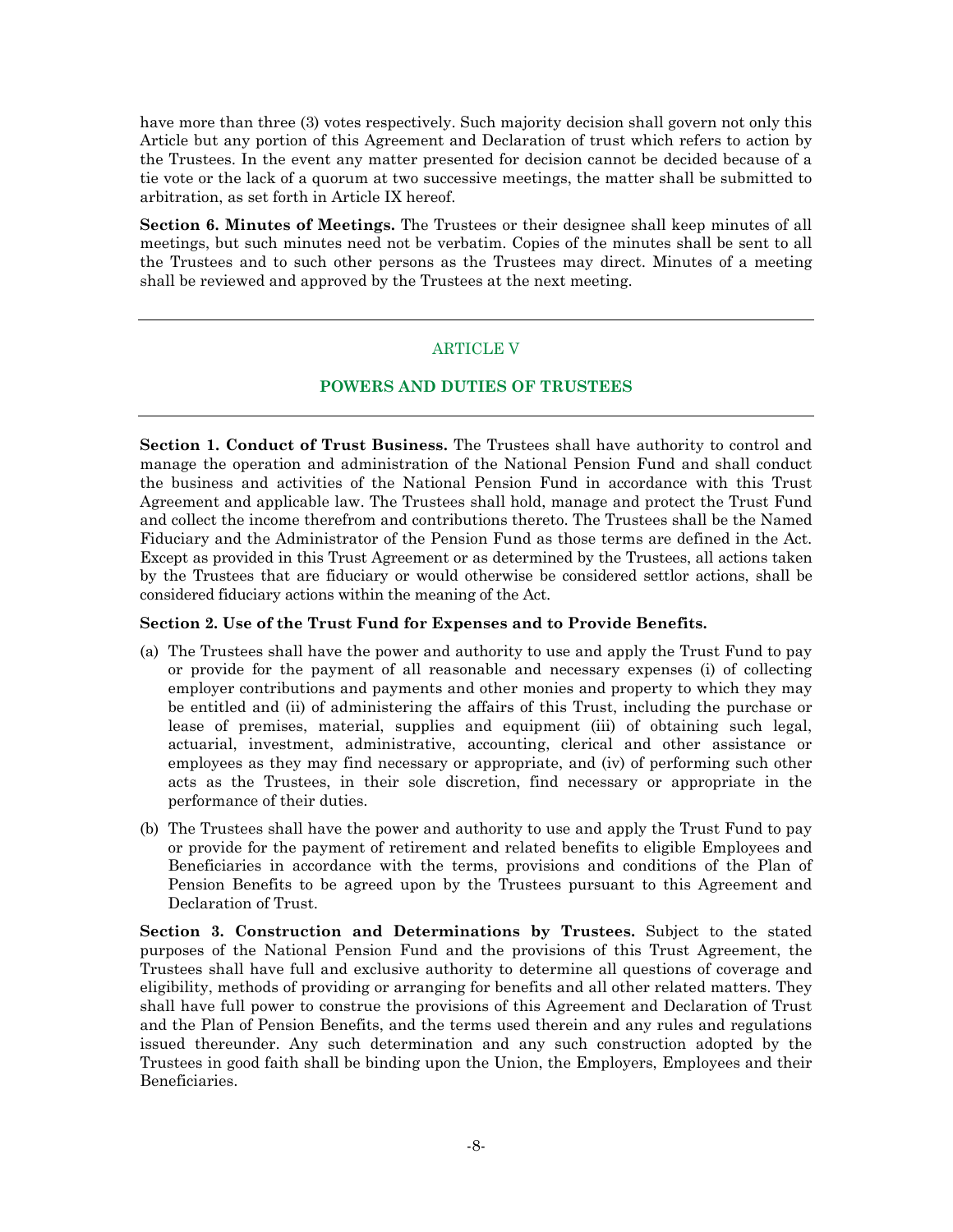have more than three (3) votes respectively. Such majority decision shall govern not only this Article but any portion of this Agreement and Declaration of trust which refers to action by the Trustees. In the event any matter presented for decision cannot be decided because of a tie vote or the lack of a quorum at two successive meetings, the matter shall be submitted to arbitration, as set forth in Article IX hereof.

**Section 6. Minutes of Meetings.** The Trustees or their designee shall keep minutes of all meetings, but such minutes need not be verbatim. Copies of the minutes shall be sent to all the Trustees and to such other persons as the Trustees may direct. Minutes of a meeting shall be reviewed and approved by the Trustees at the next meeting.

## ARTICLE V

## **POWERS AND DUTIES OF TRUSTEES**

**Section 1. Conduct of Trust Business.** The Trustees shall have authority to control and manage the operation and administration of the National Pension Fund and shall conduct the business and activities of the National Pension Fund in accordance with this Trust Agreement and applicable law. The Trustees shall hold, manage and protect the Trust Fund and collect the income therefrom and contributions thereto. The Trustees shall be the Named Fiduciary and the Administrator of the Pension Fund as those terms are defined in the Act. Except as provided in this Trust Agreement or as determined by the Trustees, all actions taken by the Trustees that are fiduciary or would otherwise be considered settlor actions, shall be considered fiduciary actions within the meaning of the Act.

### **Section 2. Use of the Trust Fund for Expenses and to Provide Benefits.**

- (a) The Trustees shall have the power and authority to use and apply the Trust Fund to pay or provide for the payment of all reasonable and necessary expenses (i) of collecting employer contributions and payments and other monies and property to which they may be entitled and (ii) of administering the affairs of this Trust, including the purchase or lease of premises, material, supplies and equipment (iii) of obtaining such legal, actuarial, investment, administrative, accounting, clerical and other assistance or employees as they may find necessary or appropriate, and (iv) of performing such other acts as the Trustees, in their sole discretion, find necessary or appropriate in the performance of their duties.
- (b) The Trustees shall have the power and authority to use and apply the Trust Fund to pay or provide for the payment of retirement and related benefits to eligible Employees and Beneficiaries in accordance with the terms, provisions and conditions of the Plan of Pension Benefits to be agreed upon by the Trustees pursuant to this Agreement and Declaration of Trust.

**Section 3. Construction and Determinations by Trustees.** Subject to the stated purposes of the National Pension Fund and the provisions of this Trust Agreement, the Trustees shall have full and exclusive authority to determine all questions of coverage and eligibility, methods of providing or arranging for benefits and all other related matters. They shall have full power to construe the provisions of this Agreement and Declaration of Trust and the Plan of Pension Benefits, and the terms used therein and any rules and regulations issued thereunder. Any such determination and any such construction adopted by the Trustees in good faith shall be binding upon the Union, the Employers, Employees and their Beneficiaries.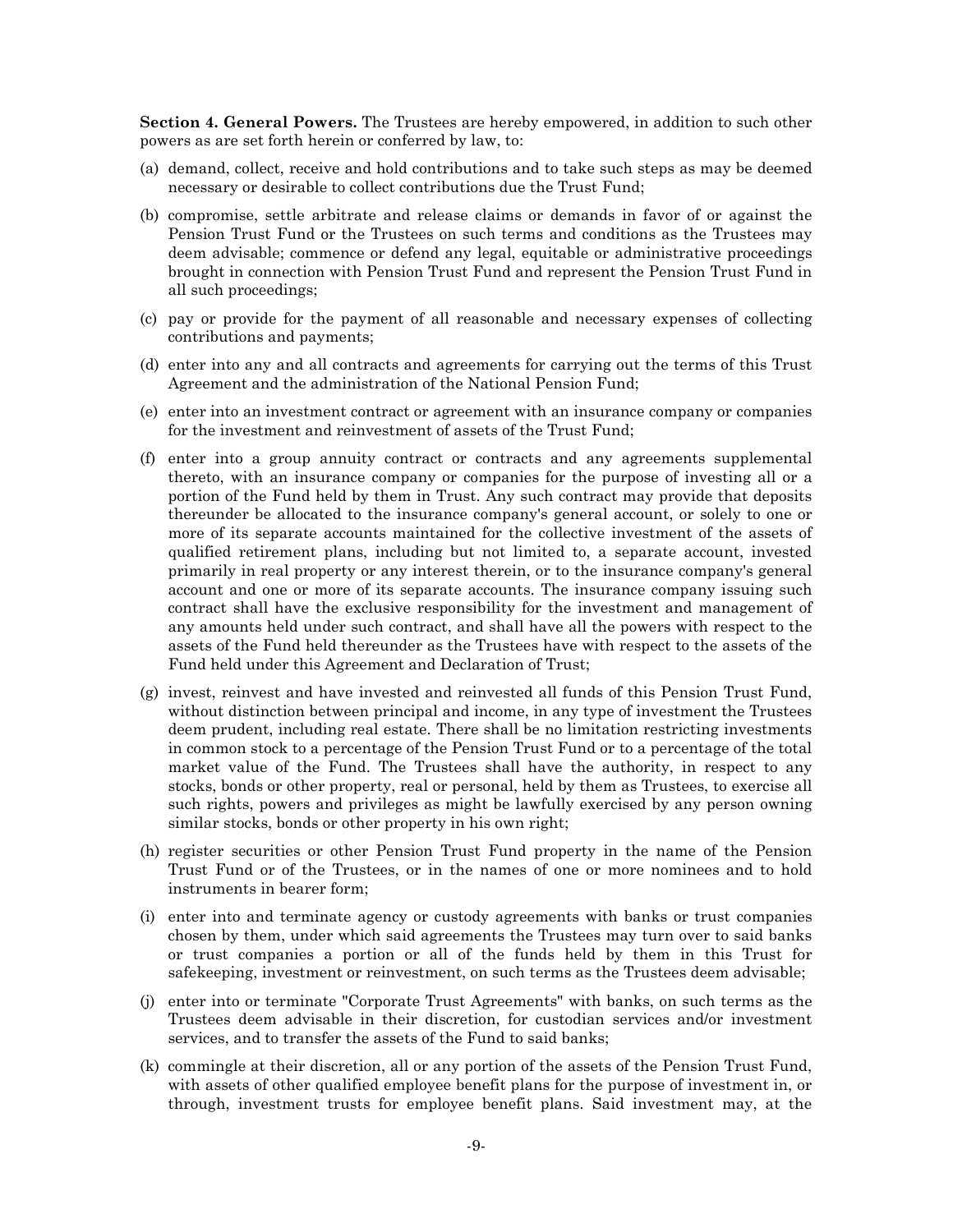**Section 4. General Powers.** The Trustees are hereby empowered, in addition to such other powers as are set forth herein or conferred by law, to:

- (a) demand, collect, receive and hold contributions and to take such steps as may be deemed necessary or desirable to collect contributions due the Trust Fund;
- (b) compromise, settle arbitrate and release claims or demands in favor of or against the Pension Trust Fund or the Trustees on such terms and conditions as the Trustees may deem advisable; commence or defend any legal, equitable or administrative proceedings brought in connection with Pension Trust Fund and represent the Pension Trust Fund in all such proceedings;
- (c) pay or provide for the payment of all reasonable and necessary expenses of collecting contributions and payments;
- (d) enter into any and all contracts and agreements for carrying out the terms of this Trust Agreement and the administration of the National Pension Fund;
- (e) enter into an investment contract or agreement with an insurance company or companies for the investment and reinvestment of assets of the Trust Fund;
- (f) enter into a group annuity contract or contracts and any agreements supplemental thereto, with an insurance company or companies for the purpose of investing all or a portion of the Fund held by them in Trust. Any such contract may provide that deposits thereunder be allocated to the insurance company's general account, or solely to one or more of its separate accounts maintained for the collective investment of the assets of qualified retirement plans, including but not limited to, a separate account, invested primarily in real property or any interest therein, or to the insurance company's general account and one or more of its separate accounts. The insurance company issuing such contract shall have the exclusive responsibility for the investment and management of any amounts held under such contract, and shall have all the powers with respect to the assets of the Fund held thereunder as the Trustees have with respect to the assets of the Fund held under this Agreement and Declaration of Trust;
- (g) invest, reinvest and have invested and reinvested all funds of this Pension Trust Fund, without distinction between principal and income, in any type of investment the Trustees deem prudent, including real estate. There shall be no limitation restricting investments in common stock to a percentage of the Pension Trust Fund or to a percentage of the total market value of the Fund. The Trustees shall have the authority, in respect to any stocks, bonds or other property, real or personal, held by them as Trustees, to exercise all such rights, powers and privileges as might be lawfully exercised by any person owning similar stocks, bonds or other property in his own right;
- (h) register securities or other Pension Trust Fund property in the name of the Pension Trust Fund or of the Trustees, or in the names of one or more nominees and to hold instruments in bearer form;
- (i) enter into and terminate agency or custody agreements with banks or trust companies chosen by them, under which said agreements the Trustees may turn over to said banks or trust companies a portion or all of the funds held by them in this Trust for safekeeping, investment or reinvestment, on such terms as the Trustees deem advisable;
- (j) enter into or terminate "Corporate Trust Agreements" with banks, on such terms as the Trustees deem advisable in their discretion, for custodian services and/or investment services, and to transfer the assets of the Fund to said banks;
- (k) commingle at their discretion, all or any portion of the assets of the Pension Trust Fund, with assets of other qualified employee benefit plans for the purpose of investment in, or through, investment trusts for employee benefit plans. Said investment may, at the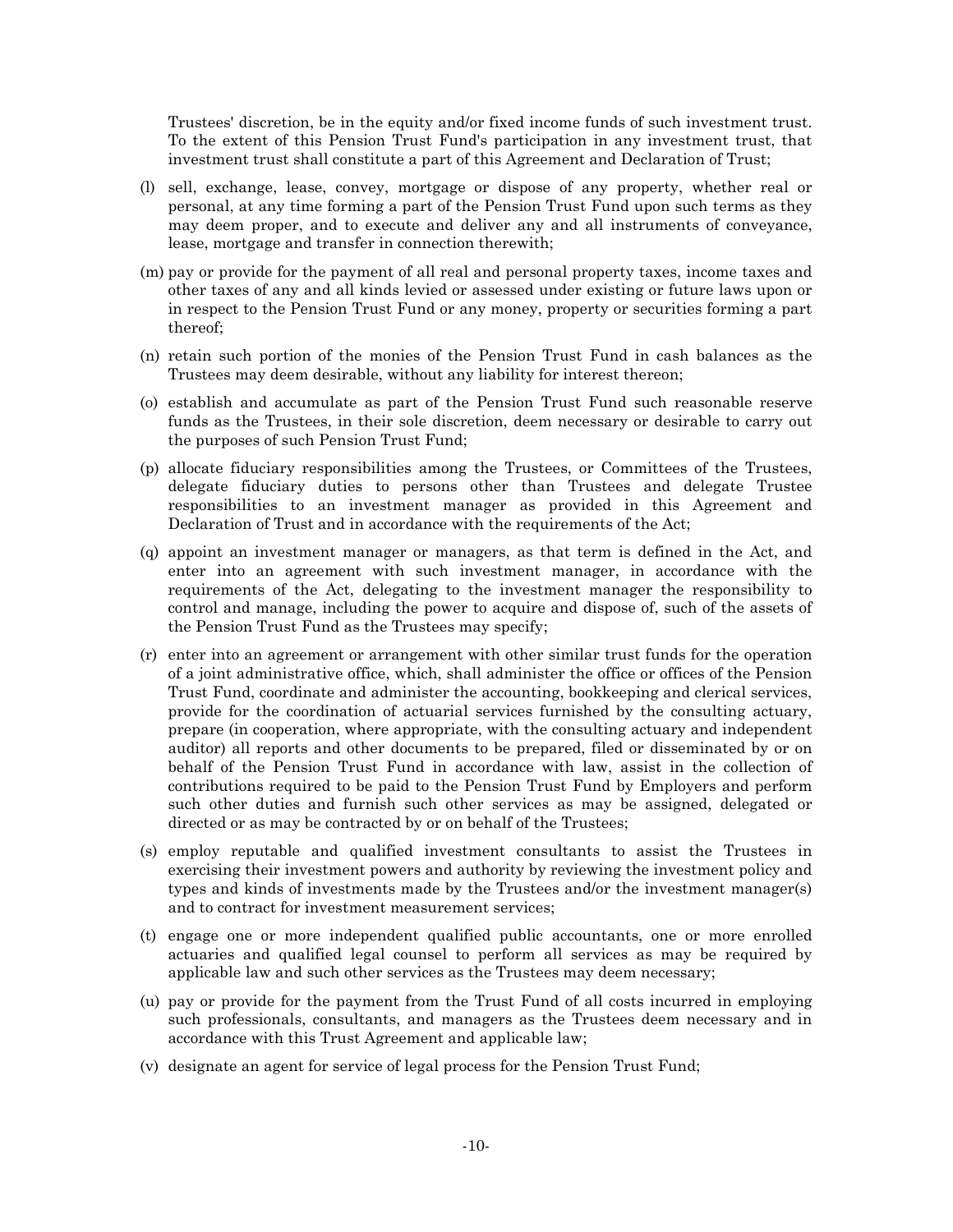Trustees' discretion, be in the equity and/or fixed income funds of such investment trust. To the extent of this Pension Trust Fund's participation in any investment trust, that investment trust shall constitute a part of this Agreement and Declaration of Trust;

- (l) sell, exchange, lease, convey, mortgage or dispose of any property, whether real or personal, at any time forming a part of the Pension Trust Fund upon such terms as they may deem proper, and to execute and deliver any and all instruments of conveyance, lease, mortgage and transfer in connection therewith;
- (m) pay or provide for the payment of all real and personal property taxes, income taxes and other taxes of any and all kinds levied or assessed under existing or future laws upon or in respect to the Pension Trust Fund or any money, property or securities forming a part thereof;
- (n) retain such portion of the monies of the Pension Trust Fund in cash balances as the Trustees may deem desirable, without any liability for interest thereon;
- (o) establish and accumulate as part of the Pension Trust Fund such reasonable reserve funds as the Trustees, in their sole discretion, deem necessary or desirable to carry out the purposes of such Pension Trust Fund;
- (p) allocate fiduciary responsibilities among the Trustees, or Committees of the Trustees, delegate fiduciary duties to persons other than Trustees and delegate Trustee responsibilities to an investment manager as provided in this Agreement and Declaration of Trust and in accordance with the requirements of the Act;
- (q) appoint an investment manager or managers, as that term is defined in the Act, and enter into an agreement with such investment manager, in accordance with the requirements of the Act, delegating to the investment manager the responsibility to control and manage, including the power to acquire and dispose of, such of the assets of the Pension Trust Fund as the Trustees may specify;
- (r) enter into an agreement or arrangement with other similar trust funds for the operation of a joint administrative office, which, shall administer the office or offices of the Pension Trust Fund, coordinate and administer the accounting, bookkeeping and clerical services, provide for the coordination of actuarial services furnished by the consulting actuary, prepare (in cooperation, where appropriate, with the consulting actuary and independent auditor) all reports and other documents to be prepared, filed or disseminated by or on behalf of the Pension Trust Fund in accordance with law, assist in the collection of contributions required to be paid to the Pension Trust Fund by Employers and perform such other duties and furnish such other services as may be assigned, delegated or directed or as may be contracted by or on behalf of the Trustees;
- (s) employ reputable and qualified investment consultants to assist the Trustees in exercising their investment powers and authority by reviewing the investment policy and types and kinds of investments made by the Trustees and/or the investment manager(s) and to contract for investment measurement services;
- (t) engage one or more independent qualified public accountants, one or more enrolled actuaries and qualified legal counsel to perform all services as may be required by applicable law and such other services as the Trustees may deem necessary;
- (u) pay or provide for the payment from the Trust Fund of all costs incurred in employing such professionals, consultants, and managers as the Trustees deem necessary and in accordance with this Trust Agreement and applicable law;
- (v) designate an agent for service of legal process for the Pension Trust Fund;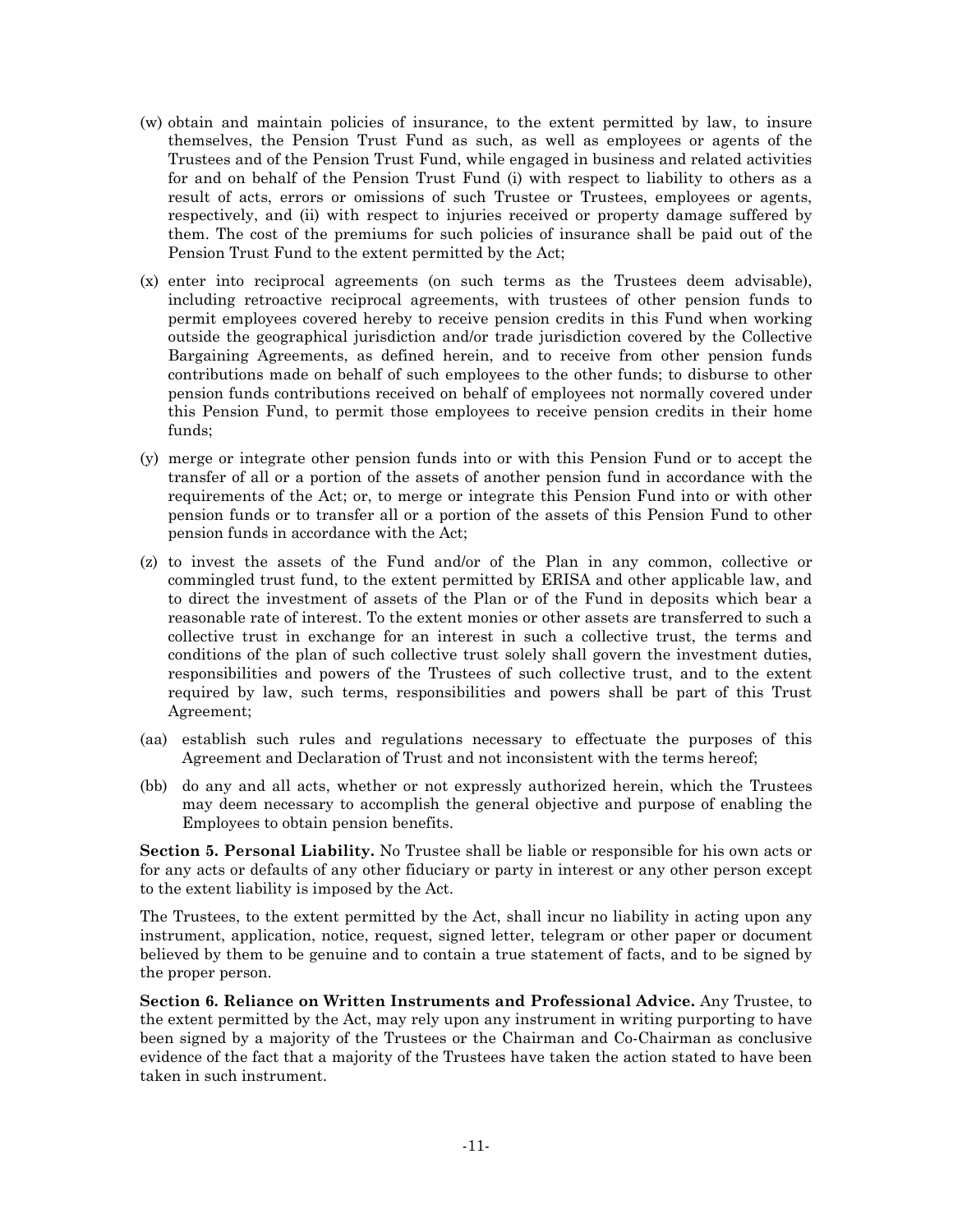- (w) obtain and maintain policies of insurance, to the extent permitted by law, to insure themselves, the Pension Trust Fund as such, as well as employees or agents of the Trustees and of the Pension Trust Fund, while engaged in business and related activities for and on behalf of the Pension Trust Fund (i) with respect to liability to others as a result of acts, errors or omissions of such Trustee or Trustees, employees or agents, respectively, and (ii) with respect to injuries received or property damage suffered by them. The cost of the premiums for such policies of insurance shall be paid out of the Pension Trust Fund to the extent permitted by the Act;
- (x) enter into reciprocal agreements (on such terms as the Trustees deem advisable), including retroactive reciprocal agreements, with trustees of other pension funds to permit employees covered hereby to receive pension credits in this Fund when working outside the geographical jurisdiction and/or trade jurisdiction covered by the Collective Bargaining Agreements, as defined herein, and to receive from other pension funds contributions made on behalf of such employees to the other funds; to disburse to other pension funds contributions received on behalf of employees not normally covered under this Pension Fund, to permit those employees to receive pension credits in their home funds;
- (y) merge or integrate other pension funds into or with this Pension Fund or to accept the transfer of all or a portion of the assets of another pension fund in accordance with the requirements of the Act; or, to merge or integrate this Pension Fund into or with other pension funds or to transfer all or a portion of the assets of this Pension Fund to other pension funds in accordance with the Act;
- (z) to invest the assets of the Fund and/or of the Plan in any common, collective or commingled trust fund, to the extent permitted by ERISA and other applicable law, and to direct the investment of assets of the Plan or of the Fund in deposits which bear a reasonable rate of interest. To the extent monies or other assets are transferred to such a collective trust in exchange for an interest in such a collective trust, the terms and conditions of the plan of such collective trust solely shall govern the investment duties, responsibilities and powers of the Trustees of such collective trust, and to the extent required by law, such terms, responsibilities and powers shall be part of this Trust Agreement;
- (aa) establish such rules and regulations necessary to effectuate the purposes of this Agreement and Declaration of Trust and not inconsistent with the terms hereof;
- (bb) do any and all acts, whether or not expressly authorized herein, which the Trustees may deem necessary to accomplish the general objective and purpose of enabling the Employees to obtain pension benefits.

**Section 5. Personal Liability.** No Trustee shall be liable or responsible for his own acts or for any acts or defaults of any other fiduciary or party in interest or any other person except to the extent liability is imposed by the Act.

The Trustees, to the extent permitted by the Act, shall incur no liability in acting upon any instrument, application, notice, request, signed letter, telegram or other paper or document believed by them to be genuine and to contain a true statement of facts, and to be signed by the proper person.

**Section 6. Reliance on Written Instruments and Professional Advice.** Any Trustee, to the extent permitted by the Act, may rely upon any instrument in writing purporting to have been signed by a majority of the Trustees or the Chairman and Co-Chairman as conclusive evidence of the fact that a majority of the Trustees have taken the action stated to have been taken in such instrument.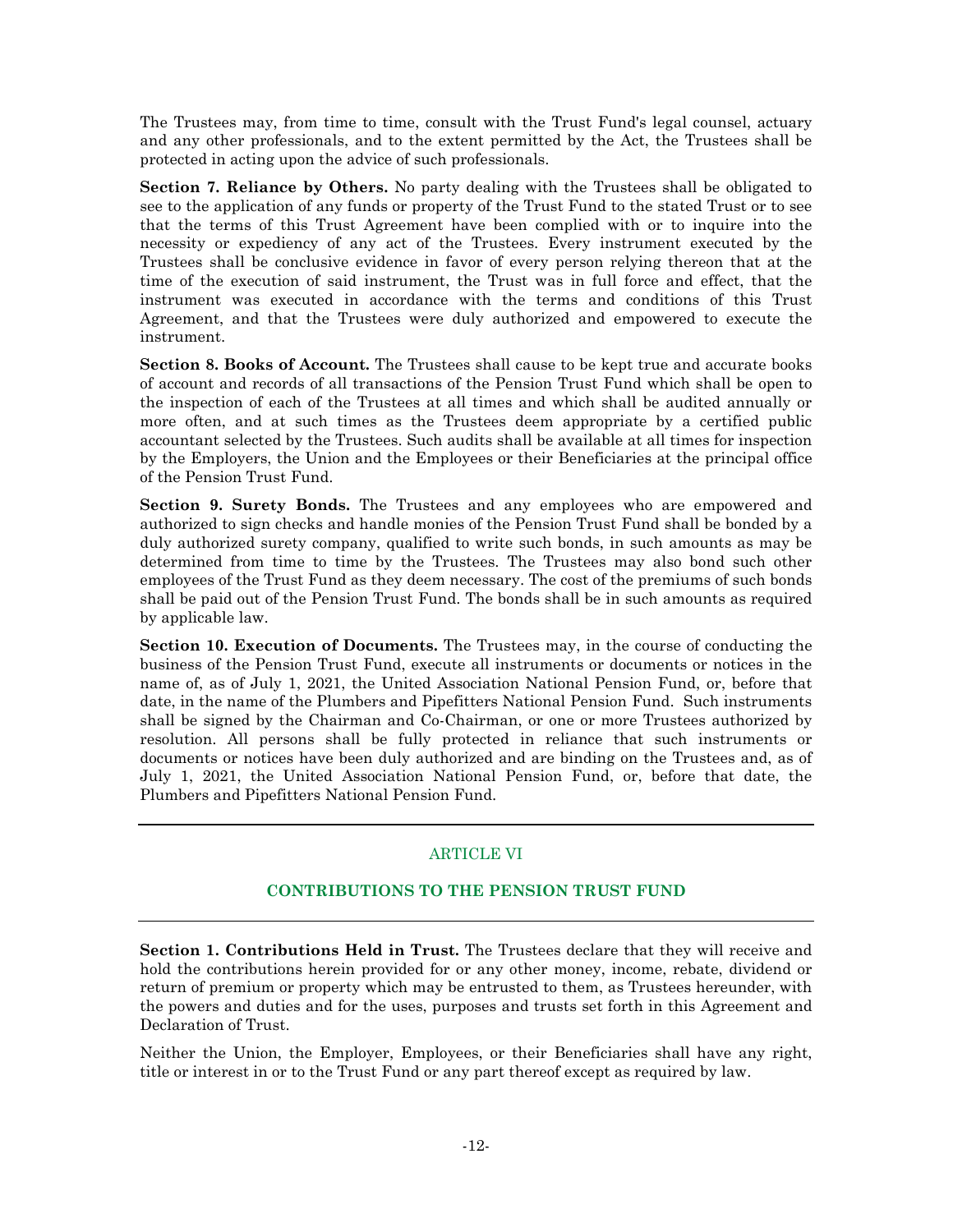The Trustees may, from time to time, consult with the Trust Fund's legal counsel, actuary and any other professionals, and to the extent permitted by the Act, the Trustees shall be protected in acting upon the advice of such professionals.

**Section 7. Reliance by Others.** No party dealing with the Trustees shall be obligated to see to the application of any funds or property of the Trust Fund to the stated Trust or to see that the terms of this Trust Agreement have been complied with or to inquire into the necessity or expediency of any act of the Trustees. Every instrument executed by the Trustees shall be conclusive evidence in favor of every person relying thereon that at the time of the execution of said instrument, the Trust was in full force and effect, that the instrument was executed in accordance with the terms and conditions of this Trust Agreement, and that the Trustees were duly authorized and empowered to execute the instrument.

**Section 8. Books of Account.** The Trustees shall cause to be kept true and accurate books of account and records of all transactions of the Pension Trust Fund which shall be open to the inspection of each of the Trustees at all times and which shall be audited annually or more often, and at such times as the Trustees deem appropriate by a certified public accountant selected by the Trustees. Such audits shall be available at all times for inspection by the Employers, the Union and the Employees or their Beneficiaries at the principal office of the Pension Trust Fund.

**Section 9. Surety Bonds.** The Trustees and any employees who are empowered and authorized to sign checks and handle monies of the Pension Trust Fund shall be bonded by a duly authorized surety company, qualified to write such bonds, in such amounts as may be determined from time to time by the Trustees. The Trustees may also bond such other employees of the Trust Fund as they deem necessary. The cost of the premiums of such bonds shall be paid out of the Pension Trust Fund. The bonds shall be in such amounts as required by applicable law.

**Section 10. Execution of Documents.** The Trustees may, in the course of conducting the business of the Pension Trust Fund, execute all instruments or documents or notices in the name of, as of July 1, 2021, the United Association National Pension Fund, or, before that date, in the name of the Plumbers and Pipefitters National Pension Fund. Such instruments shall be signed by the Chairman and Co-Chairman, or one or more Trustees authorized by resolution. All persons shall be fully protected in reliance that such instruments or documents or notices have been duly authorized and are binding on the Trustees and, as of July 1, 2021, the United Association National Pension Fund, or, before that date, the Plumbers and Pipefitters National Pension Fund.

# ARTICLE VI

# **CONTRIBUTIONS TO THE PENSION TRUST FUND**

**Section 1. Contributions Held in Trust.** The Trustees declare that they will receive and hold the contributions herein provided for or any other money, income, rebate, dividend or return of premium or property which may be entrusted to them, as Trustees hereunder, with the powers and duties and for the uses, purposes and trusts set forth in this Agreement and Declaration of Trust.

Neither the Union, the Employer, Employees, or their Beneficiaries shall have any right, title or interest in or to the Trust Fund or any part thereof except as required by law.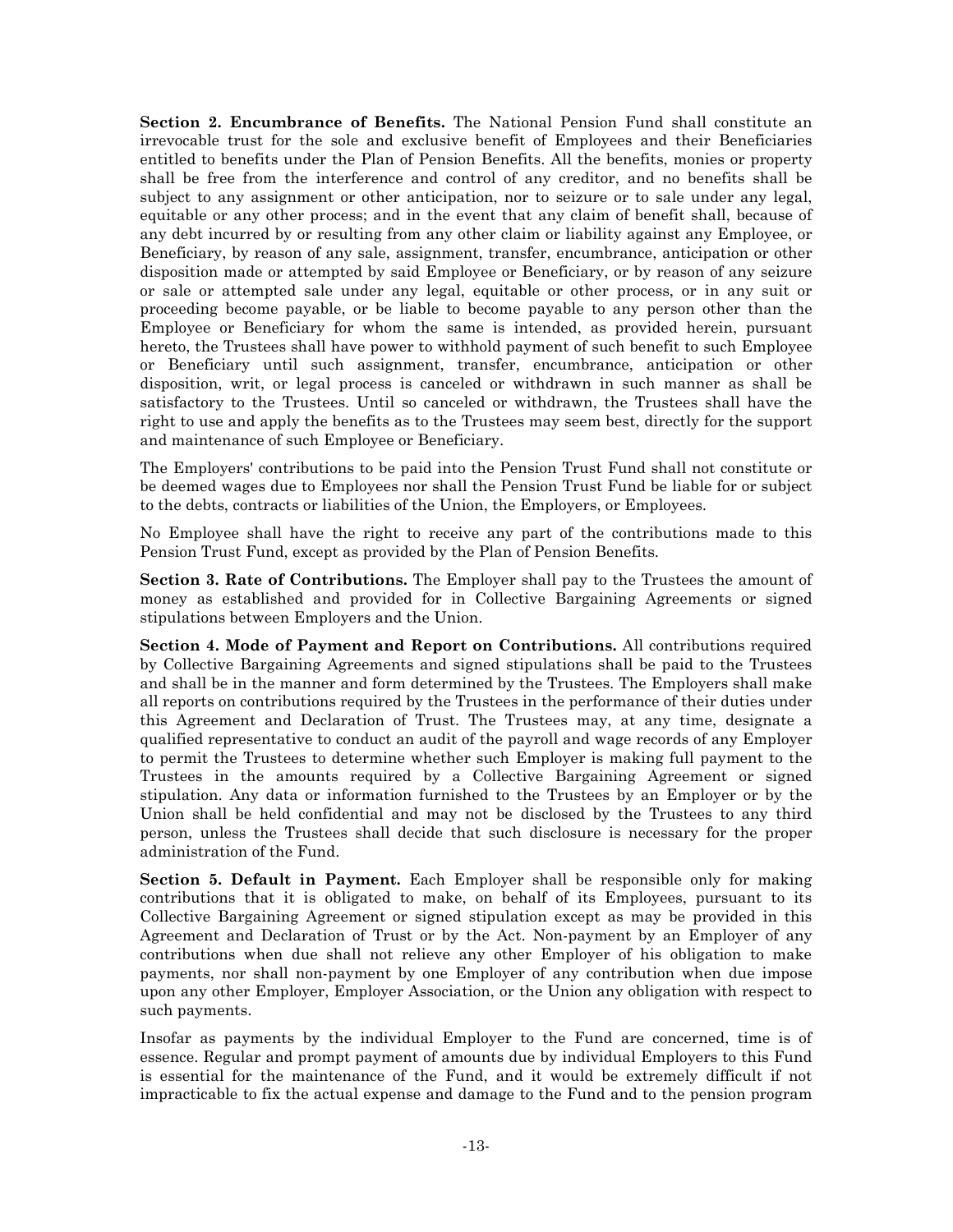**Section 2. Encumbrance of Benefits.** The National Pension Fund shall constitute an irrevocable trust for the sole and exclusive benefit of Employees and their Beneficiaries entitled to benefits under the Plan of Pension Benefits. All the benefits, monies or property shall be free from the interference and control of any creditor, and no benefits shall be subject to any assignment or other anticipation, nor to seizure or to sale under any legal, equitable or any other process; and in the event that any claim of benefit shall, because of any debt incurred by or resulting from any other claim or liability against any Employee, or Beneficiary, by reason of any sale, assignment, transfer, encumbrance, anticipation or other disposition made or attempted by said Employee or Beneficiary, or by reason of any seizure or sale or attempted sale under any legal, equitable or other process, or in any suit or proceeding become payable, or be liable to become payable to any person other than the Employee or Beneficiary for whom the same is intended, as provided herein, pursuant hereto, the Trustees shall have power to withhold payment of such benefit to such Employee or Beneficiary until such assignment, transfer, encumbrance, anticipation or other disposition, writ, or legal process is canceled or withdrawn in such manner as shall be satisfactory to the Trustees. Until so canceled or withdrawn, the Trustees shall have the right to use and apply the benefits as to the Trustees may seem best, directly for the support and maintenance of such Employee or Beneficiary.

The Employers' contributions to be paid into the Pension Trust Fund shall not constitute or be deemed wages due to Employees nor shall the Pension Trust Fund be liable for or subject to the debts, contracts or liabilities of the Union, the Employers, or Employees.

No Employee shall have the right to receive any part of the contributions made to this Pension Trust Fund, except as provided by the Plan of Pension Benefits.

**Section 3. Rate of Contributions.** The Employer shall pay to the Trustees the amount of money as established and provided for in Collective Bargaining Agreements or signed stipulations between Employers and the Union.

**Section 4. Mode of Payment and Report on Contributions.** All contributions required by Collective Bargaining Agreements and signed stipulations shall be paid to the Trustees and shall be in the manner and form determined by the Trustees. The Employers shall make all reports on contributions required by the Trustees in the performance of their duties under this Agreement and Declaration of Trust. The Trustees may, at any time, designate a qualified representative to conduct an audit of the payroll and wage records of any Employer to permit the Trustees to determine whether such Employer is making full payment to the Trustees in the amounts required by a Collective Bargaining Agreement or signed stipulation. Any data or information furnished to the Trustees by an Employer or by the Union shall be held confidential and may not be disclosed by the Trustees to any third person, unless the Trustees shall decide that such disclosure is necessary for the proper administration of the Fund.

**Section 5. Default in Payment.** Each Employer shall be responsible only for making contributions that it is obligated to make, on behalf of its Employees, pursuant to its Collective Bargaining Agreement or signed stipulation except as may be provided in this Agreement and Declaration of Trust or by the Act. Non-payment by an Employer of any contributions when due shall not relieve any other Employer of his obligation to make payments, nor shall non-payment by one Employer of any contribution when due impose upon any other Employer, Employer Association, or the Union any obligation with respect to such payments.

Insofar as payments by the individual Employer to the Fund are concerned, time is of essence. Regular and prompt payment of amounts due by individual Employers to this Fund is essential for the maintenance of the Fund, and it would be extremely difficult if not impracticable to fix the actual expense and damage to the Fund and to the pension program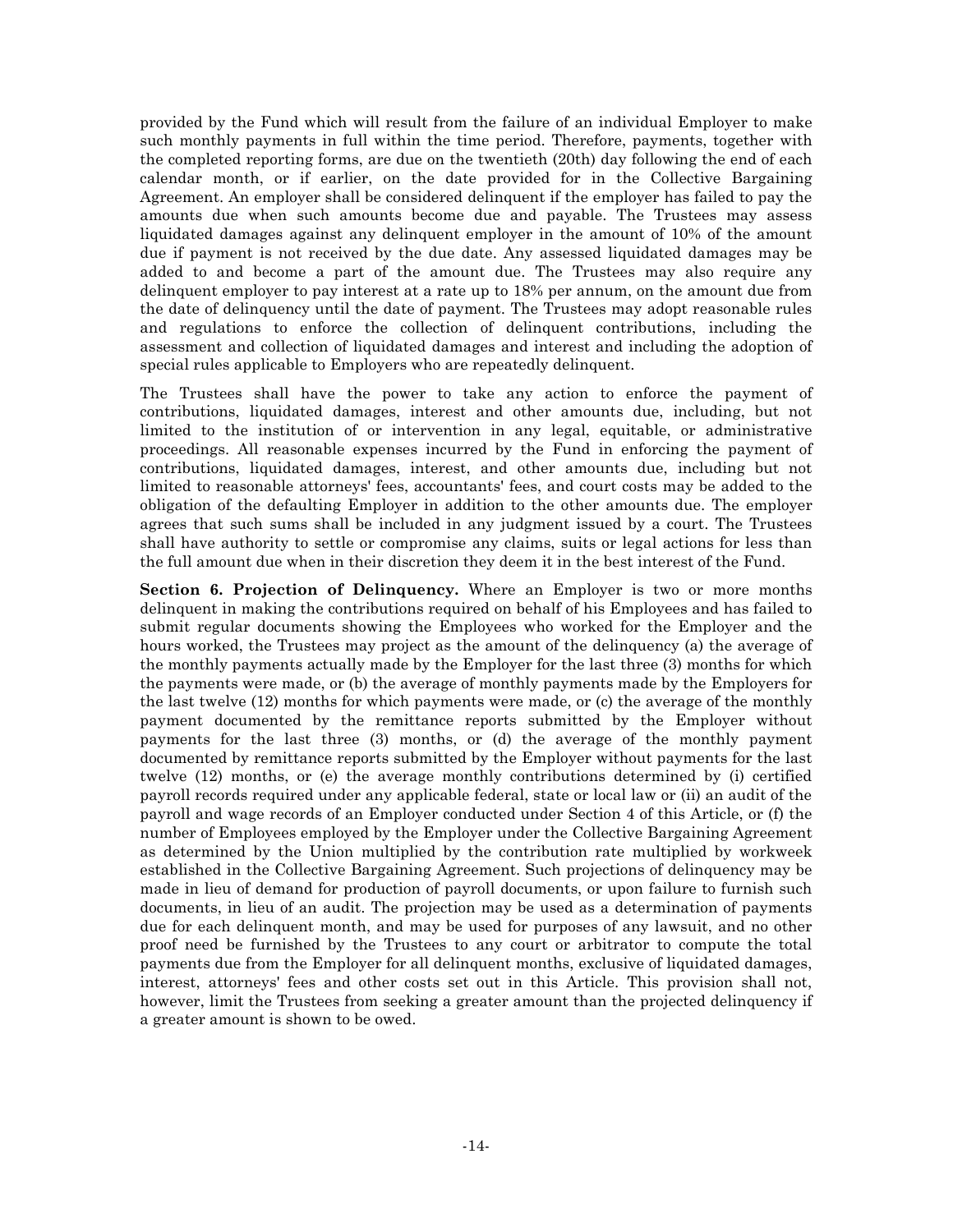provided by the Fund which will result from the failure of an individual Employer to make such monthly payments in full within the time period. Therefore, payments, together with the completed reporting forms, are due on the twentieth (20th) day following the end of each calendar month, or if earlier, on the date provided for in the Collective Bargaining Agreement. An employer shall be considered delinquent if the employer has failed to pay the amounts due when such amounts become due and payable. The Trustees may assess liquidated damages against any delinquent employer in the amount of 10% of the amount due if payment is not received by the due date. Any assessed liquidated damages may be added to and become a part of the amount due. The Trustees may also require any delinquent employer to pay interest at a rate up to 18% per annum, on the amount due from the date of delinquency until the date of payment. The Trustees may adopt reasonable rules and regulations to enforce the collection of delinquent contributions, including the assessment and collection of liquidated damages and interest and including the adoption of special rules applicable to Employers who are repeatedly delinquent.

The Trustees shall have the power to take any action to enforce the payment of contributions, liquidated damages, interest and other amounts due, including, but not limited to the institution of or intervention in any legal, equitable, or administrative proceedings. All reasonable expenses incurred by the Fund in enforcing the payment of contributions, liquidated damages, interest, and other amounts due, including but not limited to reasonable attorneys' fees, accountants' fees, and court costs may be added to the obligation of the defaulting Employer in addition to the other amounts due. The employer agrees that such sums shall be included in any judgment issued by a court. The Trustees shall have authority to settle or compromise any claims, suits or legal actions for less than the full amount due when in their discretion they deem it in the best interest of the Fund.

**Section 6. Projection of Delinquency.** Where an Employer is two or more months delinquent in making the contributions required on behalf of his Employees and has failed to submit regular documents showing the Employees who worked for the Employer and the hours worked, the Trustees may project as the amount of the delinquency (a) the average of the monthly payments actually made by the Employer for the last three (3) months for which the payments were made, or (b) the average of monthly payments made by the Employers for the last twelve (12) months for which payments were made, or (c) the average of the monthly payment documented by the remittance reports submitted by the Employer without payments for the last three (3) months, or (d) the average of the monthly payment documented by remittance reports submitted by the Employer without payments for the last twelve (12) months, or (e) the average monthly contributions determined by (i) certified payroll records required under any applicable federal, state or local law or (ii) an audit of the payroll and wage records of an Employer conducted under Section 4 of this Article, or (f) the number of Employees employed by the Employer under the Collective Bargaining Agreement as determined by the Union multiplied by the contribution rate multiplied by workweek established in the Collective Bargaining Agreement. Such projections of delinquency may be made in lieu of demand for production of payroll documents, or upon failure to furnish such documents, in lieu of an audit. The projection may be used as a determination of payments due for each delinquent month, and may be used for purposes of any lawsuit, and no other proof need be furnished by the Trustees to any court or arbitrator to compute the total payments due from the Employer for all delinquent months, exclusive of liquidated damages, interest, attorneys' fees and other costs set out in this Article. This provision shall not, however, limit the Trustees from seeking a greater amount than the projected delinquency if a greater amount is shown to be owed.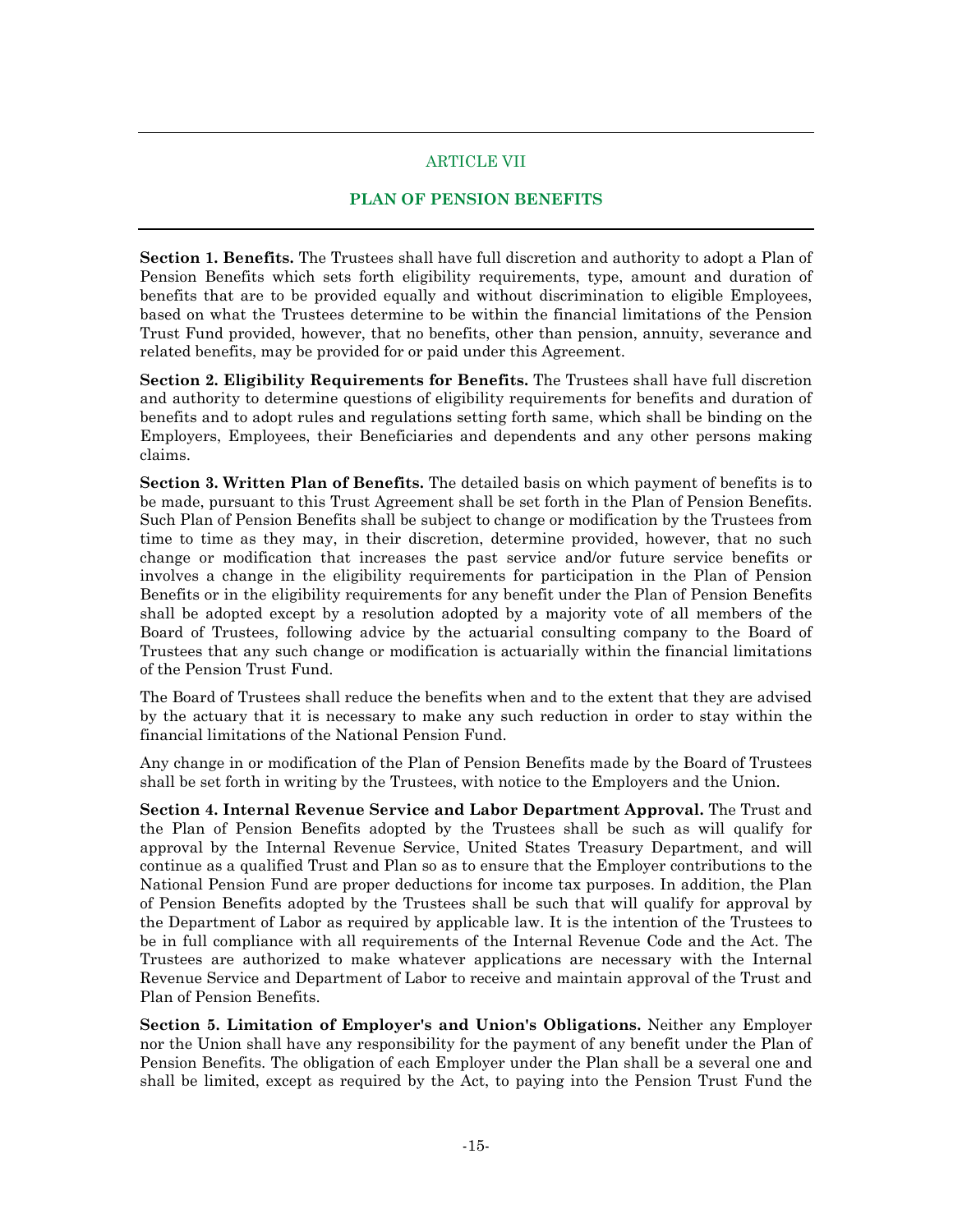## ARTICLE VII

## **PLAN OF PENSION BENEFITS**

**Section 1. Benefits.** The Trustees shall have full discretion and authority to adopt a Plan of Pension Benefits which sets forth eligibility requirements, type, amount and duration of benefits that are to be provided equally and without discrimination to eligible Employees, based on what the Trustees determine to be within the financial limitations of the Pension Trust Fund provided, however, that no benefits, other than pension, annuity, severance and related benefits, may be provided for or paid under this Agreement.

**Section 2. Eligibility Requirements for Benefits.** The Trustees shall have full discretion and authority to determine questions of eligibility requirements for benefits and duration of benefits and to adopt rules and regulations setting forth same, which shall be binding on the Employers, Employees, their Beneficiaries and dependents and any other persons making claims.

**Section 3. Written Plan of Benefits.** The detailed basis on which payment of benefits is to be made, pursuant to this Trust Agreement shall be set forth in the Plan of Pension Benefits. Such Plan of Pension Benefits shall be subject to change or modification by the Trustees from time to time as they may, in their discretion, determine provided, however, that no such change or modification that increases the past service and/or future service benefits or involves a change in the eligibility requirements for participation in the Plan of Pension Benefits or in the eligibility requirements for any benefit under the Plan of Pension Benefits shall be adopted except by a resolution adopted by a majority vote of all members of the Board of Trustees, following advice by the actuarial consulting company to the Board of Trustees that any such change or modification is actuarially within the financial limitations of the Pension Trust Fund.

The Board of Trustees shall reduce the benefits when and to the extent that they are advised by the actuary that it is necessary to make any such reduction in order to stay within the financial limitations of the National Pension Fund.

Any change in or modification of the Plan of Pension Benefits made by the Board of Trustees shall be set forth in writing by the Trustees, with notice to the Employers and the Union.

**Section 4. Internal Revenue Service and Labor Department Approval.** The Trust and the Plan of Pension Benefits adopted by the Trustees shall be such as will qualify for approval by the Internal Revenue Service, United States Treasury Department, and will continue as a qualified Trust and Plan so as to ensure that the Employer contributions to the National Pension Fund are proper deductions for income tax purposes. In addition, the Plan of Pension Benefits adopted by the Trustees shall be such that will qualify for approval by the Department of Labor as required by applicable law. It is the intention of the Trustees to be in full compliance with all requirements of the Internal Revenue Code and the Act. The Trustees are authorized to make whatever applications are necessary with the Internal Revenue Service and Department of Labor to receive and maintain approval of the Trust and Plan of Pension Benefits.

**Section 5. Limitation of Employer's and Union's Obligations.** Neither any Employer nor the Union shall have any responsibility for the payment of any benefit under the Plan of Pension Benefits. The obligation of each Employer under the Plan shall be a several one and shall be limited, except as required by the Act, to paying into the Pension Trust Fund the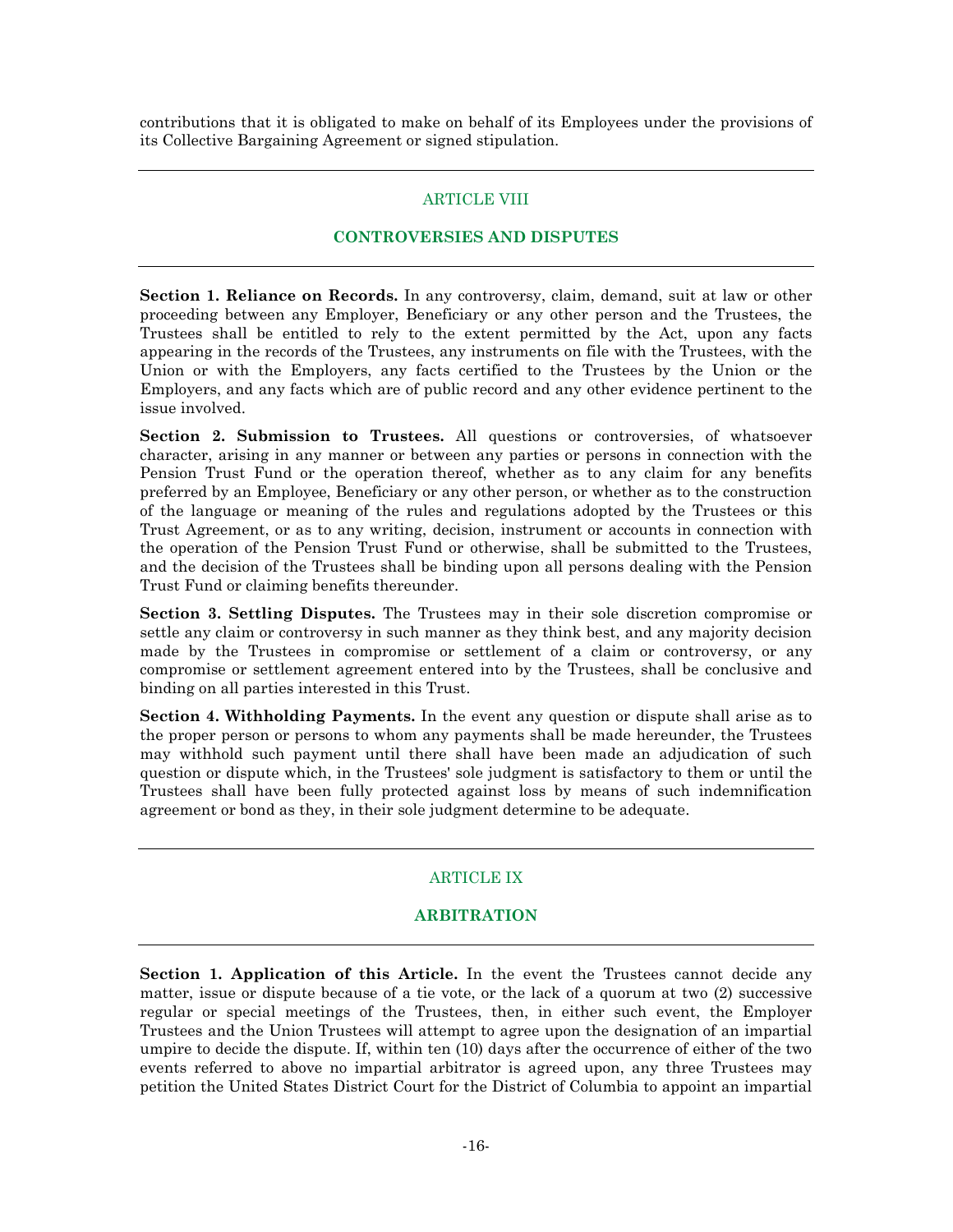contributions that it is obligated to make on behalf of its Employees under the provisions of its Collective Bargaining Agreement or signed stipulation.

## ARTICLE VIII

#### **CONTROVERSIES AND DISPUTES**

**Section 1. Reliance on Records.** In any controversy, claim, demand, suit at law or other proceeding between any Employer, Beneficiary or any other person and the Trustees, the Trustees shall be entitled to rely to the extent permitted by the Act, upon any facts appearing in the records of the Trustees, any instruments on file with the Trustees, with the Union or with the Employers, any facts certified to the Trustees by the Union or the Employers, and any facts which are of public record and any other evidence pertinent to the issue involved.

**Section 2. Submission to Trustees.** All questions or controversies, of whatsoever character, arising in any manner or between any parties or persons in connection with the Pension Trust Fund or the operation thereof, whether as to any claim for any benefits preferred by an Employee, Beneficiary or any other person, or whether as to the construction of the language or meaning of the rules and regulations adopted by the Trustees or this Trust Agreement, or as to any writing, decision, instrument or accounts in connection with the operation of the Pension Trust Fund or otherwise, shall be submitted to the Trustees, and the decision of the Trustees shall be binding upon all persons dealing with the Pension Trust Fund or claiming benefits thereunder.

**Section 3. Settling Disputes.** The Trustees may in their sole discretion compromise or settle any claim or controversy in such manner as they think best, and any majority decision made by the Trustees in compromise or settlement of a claim or controversy, or any compromise or settlement agreement entered into by the Trustees, shall be conclusive and binding on all parties interested in this Trust.

**Section 4. Withholding Payments.** In the event any question or dispute shall arise as to the proper person or persons to whom any payments shall be made hereunder, the Trustees may withhold such payment until there shall have been made an adjudication of such question or dispute which, in the Trustees' sole judgment is satisfactory to them or until the Trustees shall have been fully protected against loss by means of such indemnification agreement or bond as they, in their sole judgment determine to be adequate.

# ARTICLE IX

# **ARBITRATION**

**Section 1. Application of this Article.** In the event the Trustees cannot decide any matter, issue or dispute because of a tie vote, or the lack of a quorum at two (2) successive regular or special meetings of the Trustees, then, in either such event, the Employer Trustees and the Union Trustees will attempt to agree upon the designation of an impartial umpire to decide the dispute. If, within ten (10) days after the occurrence of either of the two events referred to above no impartial arbitrator is agreed upon, any three Trustees may petition the United States District Court for the District of Columbia to appoint an impartial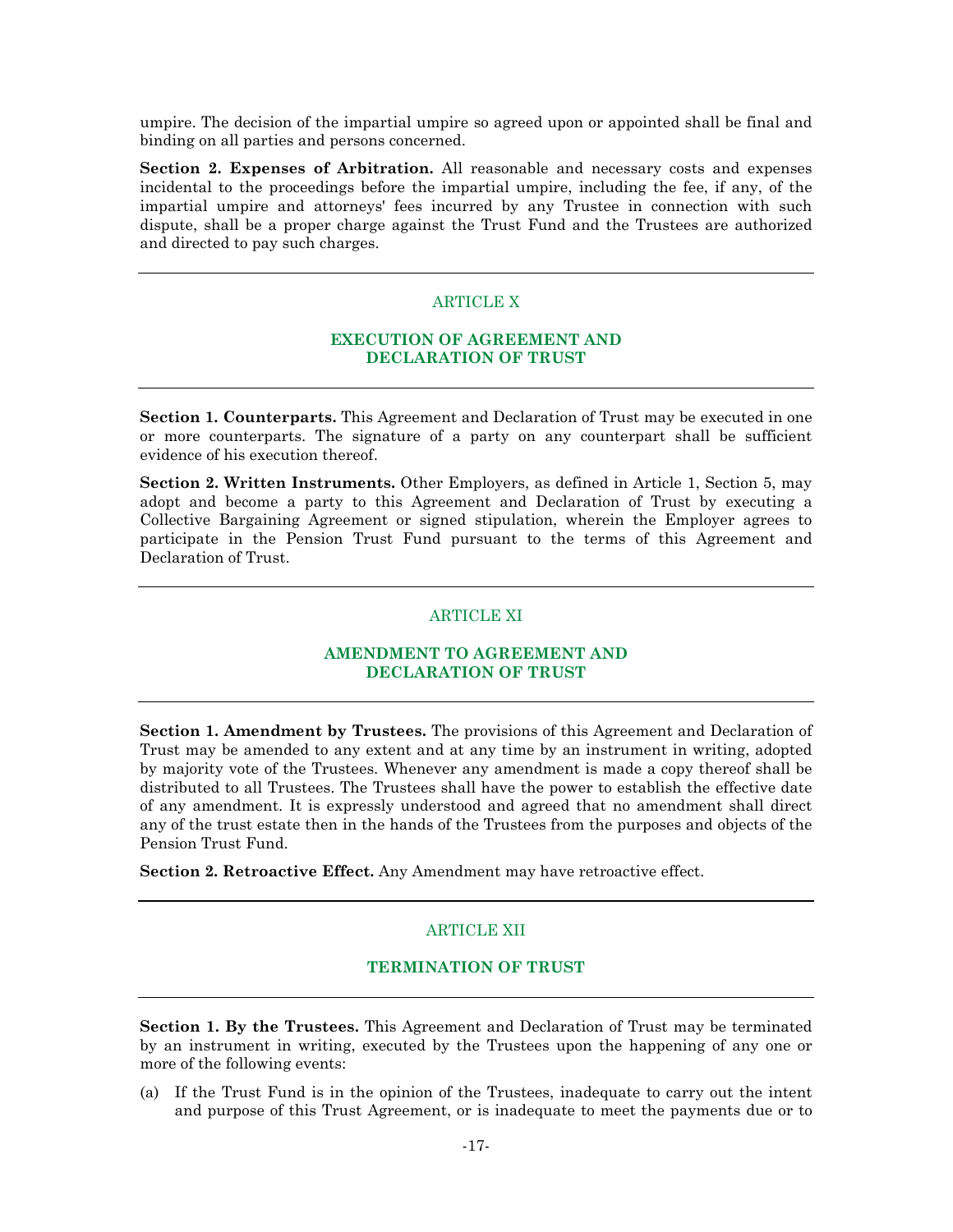umpire. The decision of the impartial umpire so agreed upon or appointed shall be final and binding on all parties and persons concerned.

**Section 2. Expenses of Arbitration.** All reasonable and necessary costs and expenses incidental to the proceedings before the impartial umpire, including the fee, if any, of the impartial umpire and attorneys' fees incurred by any Trustee in connection with such dispute, shall be a proper charge against the Trust Fund and the Trustees are authorized and directed to pay such charges.

## ARTICLE X

#### **EXECUTION OF AGREEMENT AND DECLARATION OF TRUST**

**Section 1. Counterparts.** This Agreement and Declaration of Trust may be executed in one or more counterparts. The signature of a party on any counterpart shall be sufficient evidence of his execution thereof.

**Section 2. Written Instruments.** Other Employers, as defined in Article 1, Section 5, may adopt and become a party to this Agreement and Declaration of Trust by executing a Collective Bargaining Agreement or signed stipulation, wherein the Employer agrees to participate in the Pension Trust Fund pursuant to the terms of this Agreement and Declaration of Trust.

#### ARTICLE XI

### **AMENDMENT TO AGREEMENT AND DECLARATION OF TRUST**

**Section 1. Amendment by Trustees.** The provisions of this Agreement and Declaration of Trust may be amended to any extent and at any time by an instrument in writing, adopted by majority vote of the Trustees. Whenever any amendment is made a copy thereof shall be distributed to all Trustees. The Trustees shall have the power to establish the effective date of any amendment. It is expressly understood and agreed that no amendment shall direct any of the trust estate then in the hands of the Trustees from the purposes and objects of the Pension Trust Fund.

**Section 2. Retroactive Effect.** Any Amendment may have retroactive effect.

#### ARTICLE XII

#### **TERMINATION OF TRUST**

**Section 1. By the Trustees.** This Agreement and Declaration of Trust may be terminated by an instrument in writing, executed by the Trustees upon the happening of any one or more of the following events:

(a) If the Trust Fund is in the opinion of the Trustees, inadequate to carry out the intent and purpose of this Trust Agreement, or is inadequate to meet the payments due or to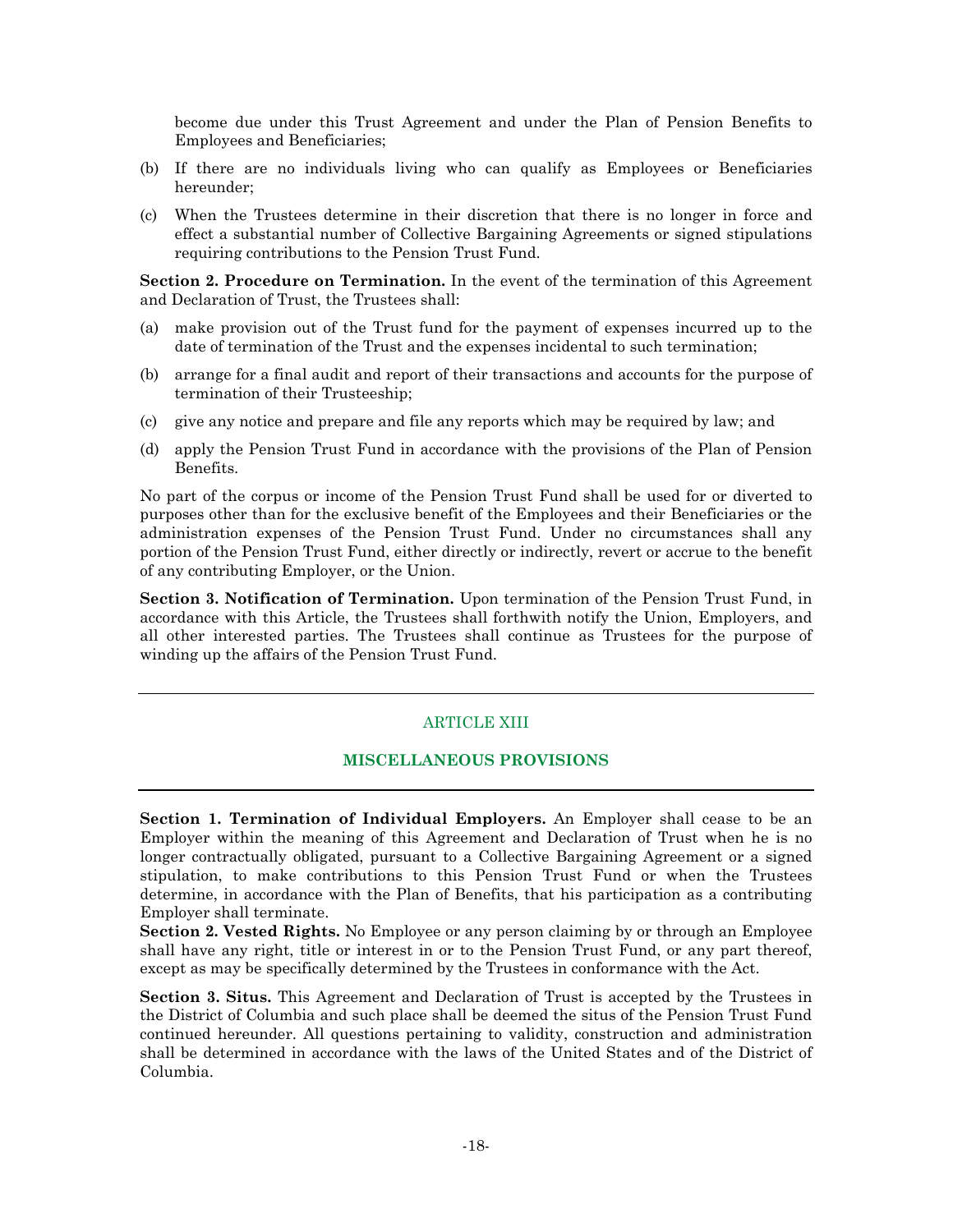become due under this Trust Agreement and under the Plan of Pension Benefits to Employees and Beneficiaries;

- (b) If there are no individuals living who can qualify as Employees or Beneficiaries hereunder;
- (c) When the Trustees determine in their discretion that there is no longer in force and effect a substantial number of Collective Bargaining Agreements or signed stipulations requiring contributions to the Pension Trust Fund.

**Section 2. Procedure on Termination.** In the event of the termination of this Agreement and Declaration of Trust, the Trustees shall:

- (a) make provision out of the Trust fund for the payment of expenses incurred up to the date of termination of the Trust and the expenses incidental to such termination;
- (b) arrange for a final audit and report of their transactions and accounts for the purpose of termination of their Trusteeship;
- (c) give any notice and prepare and file any reports which may be required by law; and
- (d) apply the Pension Trust Fund in accordance with the provisions of the Plan of Pension Benefits.

No part of the corpus or income of the Pension Trust Fund shall be used for or diverted to purposes other than for the exclusive benefit of the Employees and their Beneficiaries or the administration expenses of the Pension Trust Fund. Under no circumstances shall any portion of the Pension Trust Fund, either directly or indirectly, revert or accrue to the benefit of any contributing Employer, or the Union.

**Section 3. Notification of Termination.** Upon termination of the Pension Trust Fund, in accordance with this Article, the Trustees shall forthwith notify the Union, Employers, and all other interested parties. The Trustees shall continue as Trustees for the purpose of winding up the affairs of the Pension Trust Fund.

### ARTICLE XIII

### **MISCELLANEOUS PROVISIONS**

**Section 1. Termination of Individual Employers.** An Employer shall cease to be an Employer within the meaning of this Agreement and Declaration of Trust when he is no longer contractually obligated, pursuant to a Collective Bargaining Agreement or a signed stipulation, to make contributions to this Pension Trust Fund or when the Trustees determine, in accordance with the Plan of Benefits, that his participation as a contributing Employer shall terminate.

**Section 2. Vested Rights.** No Employee or any person claiming by or through an Employee shall have any right, title or interest in or to the Pension Trust Fund, or any part thereof, except as may be specifically determined by the Trustees in conformance with the Act.

**Section 3. Situs.** This Agreement and Declaration of Trust is accepted by the Trustees in the District of Columbia and such place shall be deemed the situs of the Pension Trust Fund continued hereunder. All questions pertaining to validity, construction and administration shall be determined in accordance with the laws of the United States and of the District of Columbia.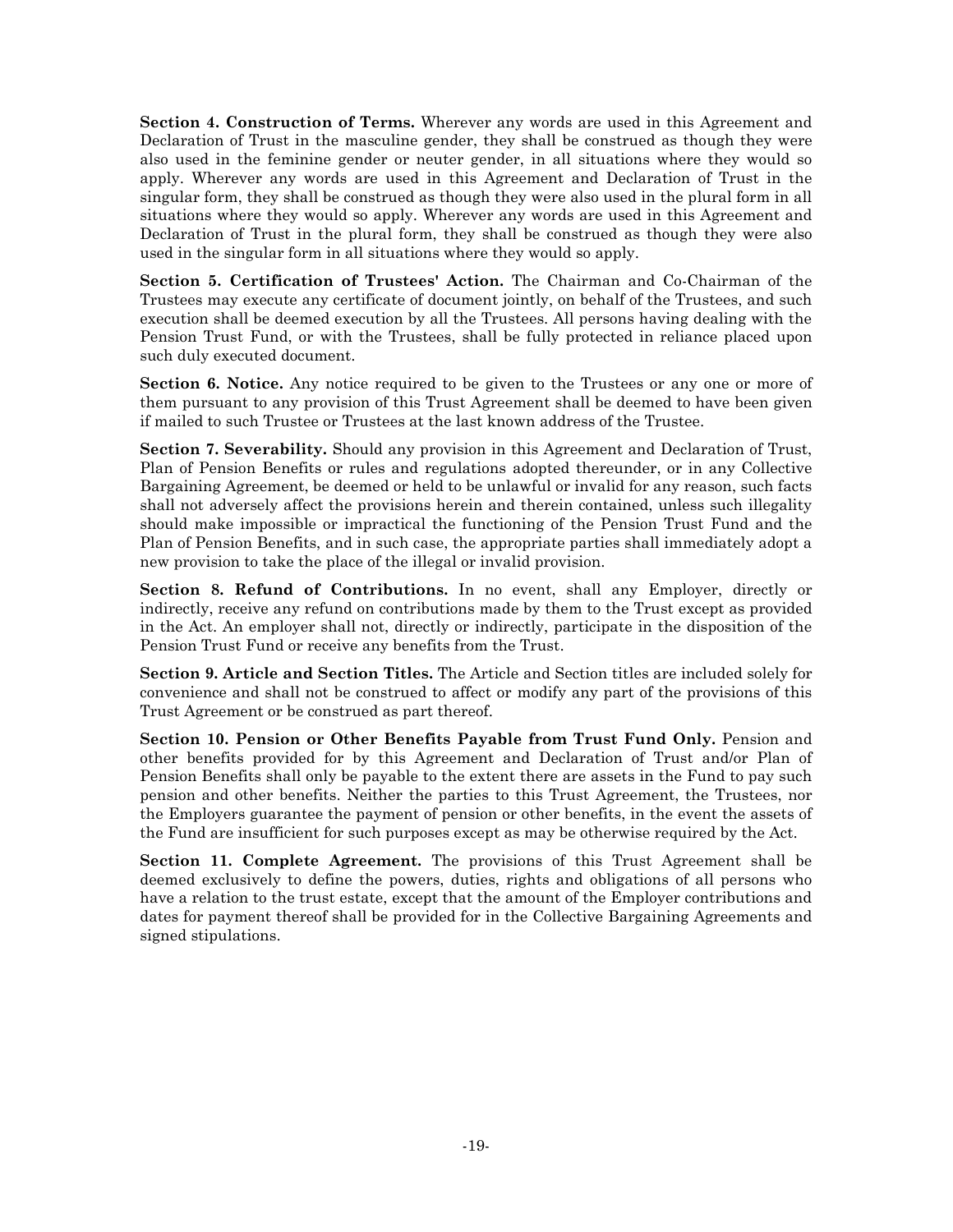**Section 4. Construction of Terms.** Wherever any words are used in this Agreement and Declaration of Trust in the masculine gender, they shall be construed as though they were also used in the feminine gender or neuter gender, in all situations where they would so apply. Wherever any words are used in this Agreement and Declaration of Trust in the singular form, they shall be construed as though they were also used in the plural form in all situations where they would so apply. Wherever any words are used in this Agreement and Declaration of Trust in the plural form, they shall be construed as though they were also used in the singular form in all situations where they would so apply.

**Section 5. Certification of Trustees' Action.** The Chairman and Co-Chairman of the Trustees may execute any certificate of document jointly, on behalf of the Trustees, and such execution shall be deemed execution by all the Trustees. All persons having dealing with the Pension Trust Fund, or with the Trustees, shall be fully protected in reliance placed upon such duly executed document.

**Section 6. Notice.** Any notice required to be given to the Trustees or any one or more of them pursuant to any provision of this Trust Agreement shall be deemed to have been given if mailed to such Trustee or Trustees at the last known address of the Trustee.

**Section 7. Severability.** Should any provision in this Agreement and Declaration of Trust, Plan of Pension Benefits or rules and regulations adopted thereunder, or in any Collective Bargaining Agreement, be deemed or held to be unlawful or invalid for any reason, such facts shall not adversely affect the provisions herein and therein contained, unless such illegality should make impossible or impractical the functioning of the Pension Trust Fund and the Plan of Pension Benefits, and in such case, the appropriate parties shall immediately adopt a new provision to take the place of the illegal or invalid provision.

**Section 8. Refund of Contributions.** In no event, shall any Employer, directly or indirectly, receive any refund on contributions made by them to the Trust except as provided in the Act. An employer shall not, directly or indirectly, participate in the disposition of the Pension Trust Fund or receive any benefits from the Trust.

**Section 9. Article and Section Titles.** The Article and Section titles are included solely for convenience and shall not be construed to affect or modify any part of the provisions of this Trust Agreement or be construed as part thereof.

**Section 10. Pension or Other Benefits Payable from Trust Fund Only.** Pension and other benefits provided for by this Agreement and Declaration of Trust and/or Plan of Pension Benefits shall only be payable to the extent there are assets in the Fund to pay such pension and other benefits. Neither the parties to this Trust Agreement, the Trustees, nor the Employers guarantee the payment of pension or other benefits, in the event the assets of the Fund are insufficient for such purposes except as may be otherwise required by the Act.

**Section 11. Complete Agreement.** The provisions of this Trust Agreement shall be deemed exclusively to define the powers, duties, rights and obligations of all persons who have a relation to the trust estate, except that the amount of the Employer contributions and dates for payment thereof shall be provided for in the Collective Bargaining Agreements and signed stipulations.